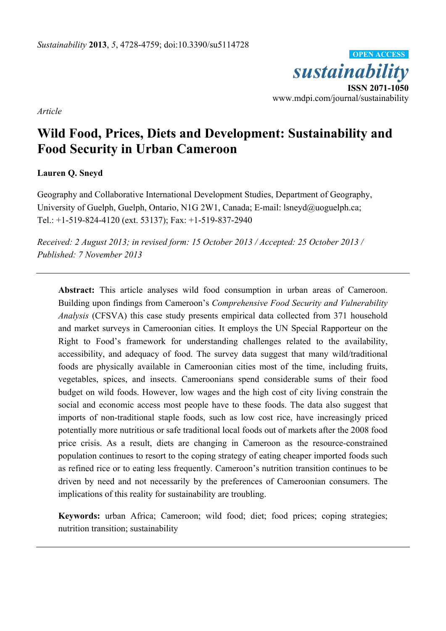*sustainability*  **ISSN 2071-1050**  www.mdpi.com/journal/sustainability **OPEN ACCESS**

*Article* 

# **Wild Food, Prices, Diets and Development: Sustainability and Food Security in Urban Cameroon**

## **Lauren Q. Sneyd**

Geography and Collaborative International Development Studies, Department of Geography, University of Guelph, Guelph, Ontario, N1G 2W1, Canada; E-mail: lsneyd@uoguelph.ca; Tel.: +1-519-824-4120 (ext. 53137); Fax: +1-519-837-2940

*Received: 2 August 2013; in revised form: 15 October 2013 / Accepted: 25 October 2013 / Published: 7 November 2013* 

**Abstract:** This article analyses wild food consumption in urban areas of Cameroon. Building upon findings from Cameroon's *Comprehensive Food Security and Vulnerability Analysis* (CFSVA) this case study presents empirical data collected from 371 household and market surveys in Cameroonian cities. It employs the UN Special Rapporteur on the Right to Food's framework for understanding challenges related to the availability, accessibility, and adequacy of food. The survey data suggest that many wild/traditional foods are physically available in Cameroonian cities most of the time, including fruits, vegetables, spices, and insects. Cameroonians spend considerable sums of their food budget on wild foods. However, low wages and the high cost of city living constrain the social and economic access most people have to these foods. The data also suggest that imports of non-traditional staple foods, such as low cost rice, have increasingly priced potentially more nutritious or safe traditional local foods out of markets after the 2008 food price crisis. As a result, diets are changing in Cameroon as the resource-constrained population continues to resort to the coping strategy of eating cheaper imported foods such as refined rice or to eating less frequently. Cameroon's nutrition transition continues to be driven by need and not necessarily by the preferences of Cameroonian consumers. The implications of this reality for sustainability are troubling.

**Keywords:** urban Africa; Cameroon; wild food; diet; food prices; coping strategies; nutrition transition; sustainability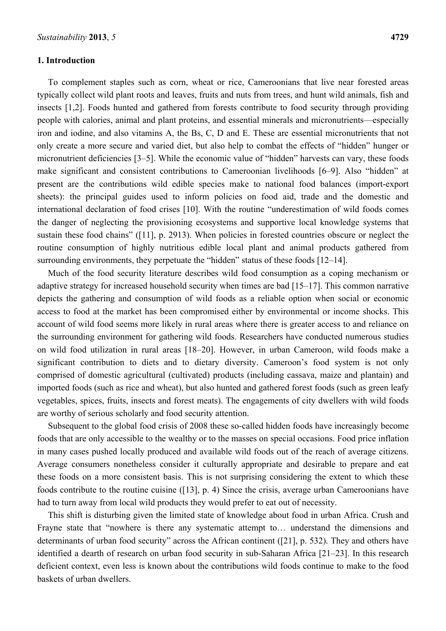## **1. Introduction**

To complement staples such as corn, wheat or rice, Cameroonians that live near forested areas typically collect wild plant roots and leaves, fruits and nuts from trees, and hunt wild animals, fish and insects [1,2]. Foods hunted and gathered from forests contribute to food security through providing people with calories, animal and plant proteins, and essential minerals and micronutrients—especially iron and iodine, and also vitamins A, the Bs, C, D and E. These are essential micronutrients that not only create a more secure and varied diet, but also help to combat the effects of "hidden" hunger or micronutrient deficiencies [3–5]. While the economic value of "hidden" harvests can vary, these foods make significant and consistent contributions to Cameroonian livelihoods [6–9]. Also "hidden" at present are the contributions wild edible species make to national food balances (import-export sheets): the principal guides used to inform policies on food aid, trade and the domestic and international declaration of food crises [10]. With the routine "underestimation of wild foods comes the danger of neglecting the provisioning ecosystems and supportive local knowledge systems that sustain these food chains" ([11], p. 2913). When policies in forested countries obscure or neglect the routine consumption of highly nutritious edible local plant and animal products gathered from surrounding environments, they perpetuate the "hidden" status of these foods [12–14].

Much of the food security literature describes wild food consumption as a coping mechanism or adaptive strategy for increased household security when times are bad [15–17]. This common narrative depicts the gathering and consumption of wild foods as a reliable option when social or economic access to food at the market has been compromised either by environmental or income shocks. This account of wild food seems more likely in rural areas where there is greater access to and reliance on the surrounding environment for gathering wild foods. Researchers have conducted numerous studies on wild food utilization in rural areas [18–20]. However, in urban Cameroon, wild foods make a significant contribution to diets and to dietary diversity. Cameroon's food system is not only comprised of domestic agricultural (cultivated) products (including cassava, maize and plantain) and imported foods (such as rice and wheat), but also hunted and gathered forest foods (such as green leafy vegetables, spices, fruits, insects and forest meats). The engagements of city dwellers with wild foods are worthy of serious scholarly and food security attention.

Subsequent to the global food crisis of 2008 these so-called hidden foods have increasingly become foods that are only accessible to the wealthy or to the masses on special occasions. Food price inflation in many cases pushed locally produced and available wild foods out of the reach of average citizens. Average consumers nonetheless consider it culturally appropriate and desirable to prepare and eat these foods on a more consistent basis. This is not surprising considering the extent to which these foods contribute to the routine cuisine ([13], p. 4) Since the crisis, average urban Cameroonians have had to turn away from local wild products they would prefer to eat out of necessity.

This shift is disturbing given the limited state of knowledge about food in urban Africa. Crush and Frayne state that "nowhere is there any systematic attempt to… understand the dimensions and determinants of urban food security" across the African continent ([21], p. 532). They and others have identified a dearth of research on urban food security in sub-Saharan Africa [21–23]. In this research deficient context, even less is known about the contributions wild foods continue to make to the food baskets of urban dwellers.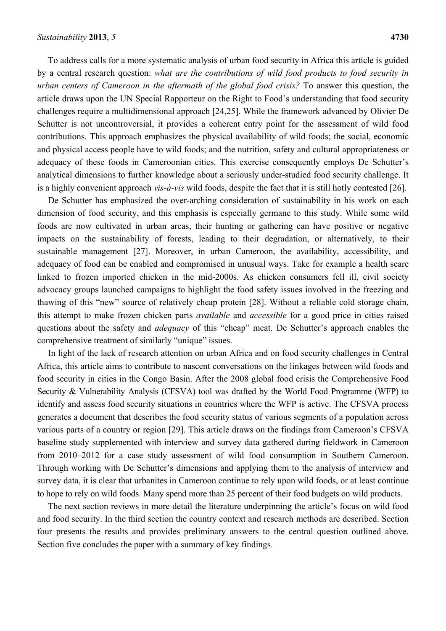To address calls for a more systematic analysis of urban food security in Africa this article is guided by a central research question: *what are the contributions of wild food products to food security in urban centers of Cameroon in the aftermath of the global food crisis?* To answer this question, the article draws upon the UN Special Rapporteur on the Right to Food's understanding that food security challenges require a multidimensional approach [24,25]. While the framework advanced by Olivier De Schutter is not uncontroversial, it provides a coherent entry point for the assessment of wild food contributions. This approach emphasizes the physical availability of wild foods; the social, economic and physical access people have to wild foods; and the nutrition, safety and cultural appropriateness or adequacy of these foods in Cameroonian cities. This exercise consequently employs De Schutter's analytical dimensions to further knowledge about a seriously under-studied food security challenge. It is a highly convenient approach *vis-à-vis* wild foods, despite the fact that it is still hotly contested [26].

De Schutter has emphasized the over-arching consideration of sustainability in his work on each dimension of food security, and this emphasis is especially germane to this study. While some wild foods are now cultivated in urban areas, their hunting or gathering can have positive or negative impacts on the sustainability of forests, leading to their degradation, or alternatively, to their sustainable management [27]. Moreover, in urban Cameroon, the availability, accessibility, and adequacy of food can be enabled and compromised in unusual ways. Take for example a health scare linked to frozen imported chicken in the mid-2000s. As chicken consumers fell ill, civil society advocacy groups launched campaigns to highlight the food safety issues involved in the freezing and thawing of this "new" source of relatively cheap protein [28]. Without a reliable cold storage chain, this attempt to make frozen chicken parts *available* and *accessible* for a good price in cities raised questions about the safety and *adequacy* of this "cheap" meat. De Schutter's approach enables the comprehensive treatment of similarly "unique" issues.

In light of the lack of research attention on urban Africa and on food security challenges in Central Africa, this article aims to contribute to nascent conversations on the linkages between wild foods and food security in cities in the Congo Basin. After the 2008 global food crisis the Comprehensive Food Security & Vulnerability Analysis (CFSVA) tool was drafted by the World Food Programme (WFP) to identify and assess food security situations in countries where the WFP is active. The CFSVA process generates a document that describes the food security status of various segments of a population across various parts of a country or region [29]. This article draws on the findings from Cameroon's CFSVA baseline study supplemented with interview and survey data gathered during fieldwork in Cameroon from 2010–2012 for a case study assessment of wild food consumption in Southern Cameroon. Through working with De Schutter's dimensions and applying them to the analysis of interview and survey data, it is clear that urbanites in Cameroon continue to rely upon wild foods, or at least continue to hope to rely on wild foods. Many spend more than 25 percent of their food budgets on wild products.

The next section reviews in more detail the literature underpinning the article's focus on wild food and food security. In the third section the country context and research methods are described. Section four presents the results and provides preliminary answers to the central question outlined above. Section five concludes the paper with a summary of key findings.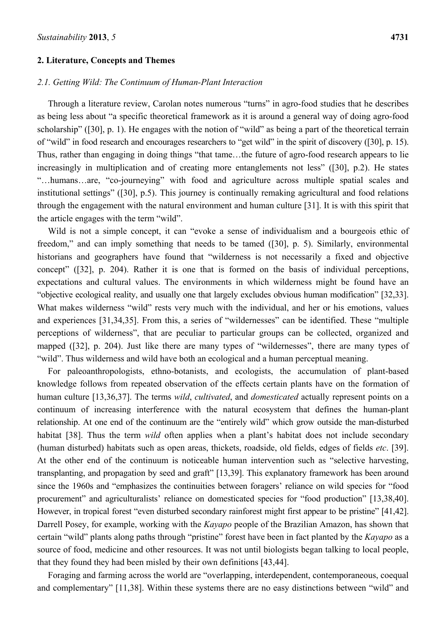#### **2. Literature, Concepts and Themes**

### *2.1. Getting Wild: The Continuum of Human-Plant Interaction*

Through a literature review, Carolan notes numerous "turns" in agro-food studies that he describes as being less about "a specific theoretical framework as it is around a general way of doing agro-food scholarship" ([30], p. 1). He engages with the notion of "wild" as being a part of the theoretical terrain of "wild" in food research and encourages researchers to "get wild" in the spirit of discovery ([30], p. 15). Thus, rather than engaging in doing things "that tame…the future of agro-food research appears to lie increasingly in multiplication and of creating more entanglements not less" ([30], p.2). He states "…humans…are, "co-journeying" with food and agriculture across multiple spatial scales and institutional settings" ([30], p.5). This journey is continually remaking agricultural and food relations through the engagement with the natural environment and human culture [31]. It is with this spirit that the article engages with the term "wild".

Wild is not a simple concept, it can "evoke a sense of individualism and a bourgeois ethic of freedom," and can imply something that needs to be tamed ([30], p. 5). Similarly, environmental historians and geographers have found that "wilderness is not necessarily a fixed and objective concept" ([32], p. 204). Rather it is one that is formed on the basis of individual perceptions, expectations and cultural values. The environments in which wilderness might be found have an "objective ecological reality, and usually one that largely excludes obvious human modification" [32,33]. What makes wilderness "wild" rests very much with the individual, and her or his emotions, values and experiences [31,34,35]. From this, a series of "wildernesses" can be identified. These "multiple perceptions of wilderness", that are peculiar to particular groups can be collected, organized and mapped ([32], p. 204). Just like there are many types of "wildernesses", there are many types of "wild". Thus wilderness and wild have both an ecological and a human perceptual meaning.

For paleoanthropologists, ethno-botanists, and ecologists, the accumulation of plant-based knowledge follows from repeated observation of the effects certain plants have on the formation of human culture [13,36,37]. The terms *wild*, *cultivated*, and *domesticated* actually represent points on a continuum of increasing interference with the natural ecosystem that defines the human-plant relationship. At one end of the continuum are the "entirely wild" which grow outside the man-disturbed habitat [38]. Thus the term *wild* often applies when a plant's habitat does not include secondary (human disturbed) habitats such as open areas, thickets, roadside, old fields, edges of fields *etc*. [39]. At the other end of the continuum is noticeable human intervention such as "selective harvesting, transplanting, and propagation by seed and graft" [13,39]. This explanatory framework has been around since the 1960s and "emphasizes the continuities between foragers' reliance on wild species for "food procurement" and agriculturalists' reliance on domesticated species for "food production" [13,38,40]. However, in tropical forest "even disturbed secondary rainforest might first appear to be pristine" [41,42]. Darrell Posey, for example, working with the *Kayapo* people of the Brazilian Amazon, has shown that certain "wild" plants along paths through "pristine" forest have been in fact planted by the *Kayapo* as a source of food, medicine and other resources. It was not until biologists began talking to local people, that they found they had been misled by their own definitions [43,44].

Foraging and farming across the world are "overlapping, interdependent, contemporaneous, coequal and complementary" [11,38]. Within these systems there are no easy distinctions between "wild" and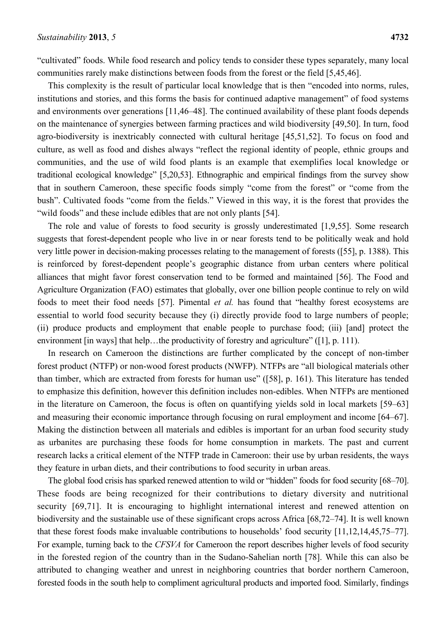"cultivated" foods. While food research and policy tends to consider these types separately, many local communities rarely make distinctions between foods from the forest or the field [5,45,46].

This complexity is the result of particular local knowledge that is then "encoded into norms, rules, institutions and stories, and this forms the basis for continued adaptive management" of food systems and environments over generations [11,46–48]. The continued availability of these plant foods depends on the maintenance of synergies between farming practices and wild biodiversity [49,50]. In turn, food agro-biodiversity is inextricably connected with cultural heritage [45,51,52]. To focus on food and culture, as well as food and dishes always "reflect the regional identity of people, ethnic groups and communities, and the use of wild food plants is an example that exemplifies local knowledge or traditional ecological knowledge" [5,20,53]. Ethnographic and empirical findings from the survey show that in southern Cameroon, these specific foods simply "come from the forest" or "come from the bush". Cultivated foods "come from the fields." Viewed in this way, it is the forest that provides the "wild foods" and these include edibles that are not only plants [54].

The role and value of forests to food security is grossly underestimated [1,9,55]. Some research suggests that forest-dependent people who live in or near forests tend to be politically weak and hold very little power in decision-making processes relating to the management of forests ([55], p. 1388). This is reinforced by forest-dependent people's geographic distance from urban centers where political alliances that might favor forest conservation tend to be formed and maintained [56]. The Food and Agriculture Organization (FAO) estimates that globally, over one billion people continue to rely on wild foods to meet their food needs [57]. Pimental *et al.* has found that "healthy forest ecosystems are essential to world food security because they (i) directly provide food to large numbers of people; (ii) produce products and employment that enable people to purchase food; (iii) [and] protect the environment [in ways] that help…the productivity of forestry and agriculture" ([1], p. 111).

In research on Cameroon the distinctions are further complicated by the concept of non-timber forest product (NTFP) or non-wood forest products (NWFP). NTFPs are "all biological materials other than timber, which are extracted from forests for human use" ([58], p. 161). This literature has tended to emphasize this definition, however this definition includes non-edibles. When NTFPs are mentioned in the literature on Cameroon, the focus is often on quantifying yields sold in local markets [59–63] and measuring their economic importance through focusing on rural employment and income [64–67]. Making the distinction between all materials and edibles is important for an urban food security study as urbanites are purchasing these foods for home consumption in markets. The past and current research lacks a critical element of the NTFP trade in Cameroon: their use by urban residents, the ways they feature in urban diets, and their contributions to food security in urban areas.

The global food crisis has sparked renewed attention to wild or "hidden" foods for food security [68–70]. These foods are being recognized for their contributions to dietary diversity and nutritional security [69,71]. It is encouraging to highlight international interest and renewed attention on biodiversity and the sustainable use of these significant crops across Africa [68,72–74]. It is well known that these forest foods make invaluable contributions to households' food security [11,12,14,45,75–77]. For example, turning back to the *CFSVA* for Cameroon the report describes higher levels of food security in the forested region of the country than in the Sudano-Sahelian north [78]. While this can also be attributed to changing weather and unrest in neighboring countries that border northern Cameroon, forested foods in the south help to compliment agricultural products and imported food. Similarly, findings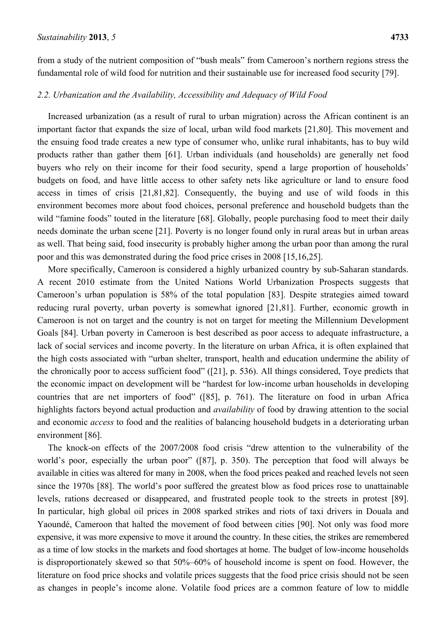from a study of the nutrient composition of "bush meals" from Cameroon's northern regions stress the fundamental role of wild food for nutrition and their sustainable use for increased food security [79].

## *2.2. Urbanization and the Availability, Accessibility and Adequacy of Wild Food*

Increased urbanization (as a result of rural to urban migration) across the African continent is an important factor that expands the size of local, urban wild food markets [21,80]. This movement and the ensuing food trade creates a new type of consumer who, unlike rural inhabitants, has to buy wild products rather than gather them [61]. Urban individuals (and households) are generally net food buyers who rely on their income for their food security, spend a large proportion of households' budgets on food, and have little access to other safety nets like agriculture or land to ensure food access in times of crisis [21,81,82]. Consequently, the buying and use of wild foods in this environment becomes more about food choices, personal preference and household budgets than the wild "famine foods" touted in the literature [68]. Globally, people purchasing food to meet their daily needs dominate the urban scene [21]. Poverty is no longer found only in rural areas but in urban areas as well. That being said, food insecurity is probably higher among the urban poor than among the rural poor and this was demonstrated during the food price crises in 2008 [15,16,25].

More specifically, Cameroon is considered a highly urbanized country by sub-Saharan standards. A recent 2010 estimate from the United Nations World Urbanization Prospects suggests that Cameroon's urban population is 58% of the total population [83]. Despite strategies aimed toward reducing rural poverty, urban poverty is somewhat ignored [21,81]. Further, economic growth in Cameroon is not on target and the country is not on target for meeting the Millennium Development Goals [84]. Urban poverty in Cameroon is best described as poor access to adequate infrastructure, a lack of social services and income poverty. In the literature on urban Africa, it is often explained that the high costs associated with "urban shelter, transport, health and education undermine the ability of the chronically poor to access sufficient food" ([21], p. 536). All things considered, Toye predicts that the economic impact on development will be "hardest for low-income urban households in developing countries that are net importers of food" ([85], p. 761). The literature on food in urban Africa highlights factors beyond actual production and *availability* of food by drawing attention to the social and economic *access* to food and the realities of balancing household budgets in a deteriorating urban environment [86].

The knock-on effects of the 2007/2008 food crisis "drew attention to the vulnerability of the world's poor, especially the urban poor" ([87], p. 350). The perception that food will always be available in cities was altered for many in 2008, when the food prices peaked and reached levels not seen since the 1970s [88]. The world's poor suffered the greatest blow as food prices rose to unattainable levels, rations decreased or disappeared, and frustrated people took to the streets in protest [89]. In particular, high global oil prices in 2008 sparked strikes and riots of taxi drivers in Douala and Yaoundé, Cameroon that halted the movement of food between cities [90]. Not only was food more expensive, it was more expensive to move it around the country. In these cities, the strikes are remembered as a time of low stocks in the markets and food shortages at home. The budget of low-income households is disproportionately skewed so that 50%–60% of household income is spent on food. However, the literature on food price shocks and volatile prices suggests that the food price crisis should not be seen as changes in people's income alone. Volatile food prices are a common feature of low to middle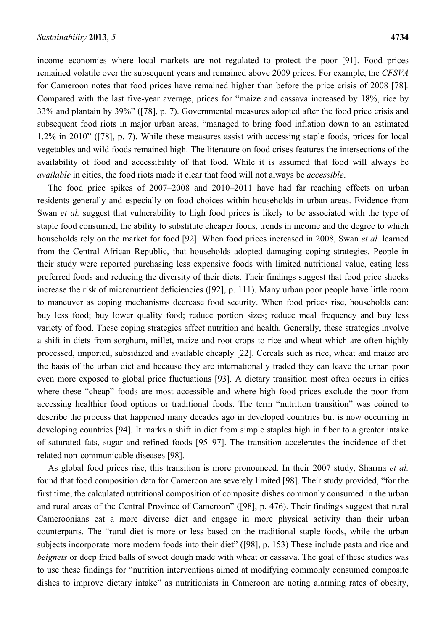income economies where local markets are not regulated to protect the poor [91]. Food prices remained volatile over the subsequent years and remained above 2009 prices. For example, the *CFSVA*  for Cameroon notes that food prices have remained higher than before the price crisis of 2008 [78]*.* Compared with the last five-year average, prices for "maize and cassava increased by 18%, rice by 33% and plantain by 39%" ([78], p. 7). Governmental measures adopted after the food price crisis and subsequent food riots in major urban areas, "managed to bring food inflation down to an estimated 1.2% in 2010" ([78], p. 7). While these measures assist with accessing staple foods, prices for local vegetables and wild foods remained high. The literature on food crises features the intersections of the availability of food and accessibility of that food. While it is assumed that food will always be *available* in cities, the food riots made it clear that food will not always be *accessible*.

The food price spikes of 2007–2008 and 2010–2011 have had far reaching effects on urban residents generally and especially on food choices within households in urban areas. Evidence from Swan *et al.* suggest that vulnerability to high food prices is likely to be associated with the type of staple food consumed, the ability to substitute cheaper foods, trends in income and the degree to which households rely on the market for food [92]. When food prices increased in 2008, Swan *et al.* learned from the Central African Republic, that households adopted damaging coping strategies. People in their study were reported purchasing less expensive foods with limited nutritional value, eating less preferred foods and reducing the diversity of their diets. Their findings suggest that food price shocks increase the risk of micronutrient deficiencies ([92], p. 111). Many urban poor people have little room to maneuver as coping mechanisms decrease food security. When food prices rise, households can: buy less food; buy lower quality food; reduce portion sizes; reduce meal frequency and buy less variety of food. These coping strategies affect nutrition and health. Generally, these strategies involve a shift in diets from sorghum, millet, maize and root crops to rice and wheat which are often highly processed, imported, subsidized and available cheaply [22]. Cereals such as rice, wheat and maize are the basis of the urban diet and because they are internationally traded they can leave the urban poor even more exposed to global price fluctuations [93]. A dietary transition most often occurs in cities where these "cheap" foods are most accessible and where high food prices exclude the poor from accessing healthier food options or traditional foods. The term "nutrition transition" was coined to describe the process that happened many decades ago in developed countries but is now occurring in developing countries [94]. It marks a shift in diet from simple staples high in fiber to a greater intake of saturated fats, sugar and refined foods [95–97]. The transition accelerates the incidence of dietrelated non-communicable diseases [98].

As global food prices rise, this transition is more pronounced. In their 2007 study, Sharma *et al.* found that food composition data for Cameroon are severely limited [98]. Their study provided, "for the first time, the calculated nutritional composition of composite dishes commonly consumed in the urban and rural areas of the Central Province of Cameroon" ([98], p. 476). Their findings suggest that rural Cameroonians eat a more diverse diet and engage in more physical activity than their urban counterparts. The "rural diet is more or less based on the traditional staple foods, while the urban subjects incorporate more modern foods into their diet" ([98], p. 153) These include pasta and rice and *beignets* or deep fried balls of sweet dough made with wheat or cassava. The goal of these studies was to use these findings for "nutrition interventions aimed at modifying commonly consumed composite dishes to improve dietary intake" as nutritionists in Cameroon are noting alarming rates of obesity,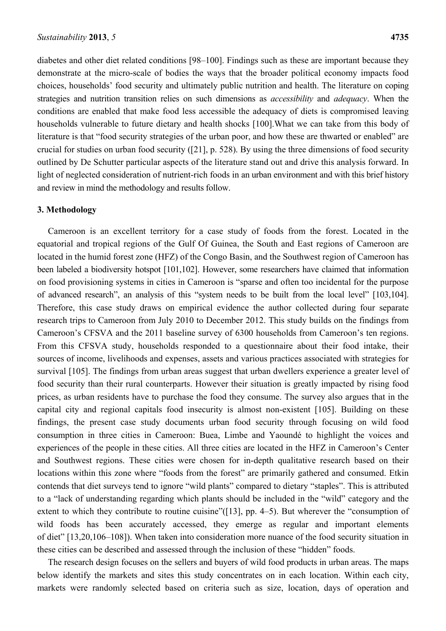diabetes and other diet related conditions [98–100]. Findings such as these are important because they demonstrate at the micro-scale of bodies the ways that the broader political economy impacts food choices, households' food security and ultimately public nutrition and health. The literature on coping strategies and nutrition transition relies on such dimensions as *accessibility* and *adequacy*. When the conditions are enabled that make food less accessible the adequacy of diets is compromised leaving households vulnerable to future dietary and health shocks [100].What we can take from this body of literature is that "food security strategies of the urban poor, and how these are thwarted or enabled" are crucial for studies on urban food security ([21], p. 528). By using the three dimensions of food security outlined by De Schutter particular aspects of the literature stand out and drive this analysis forward. In light of neglected consideration of nutrient-rich foods in an urban environment and with this brief history and review in mind the methodology and results follow.

#### **3. Methodology**

Cameroon is an excellent territory for a case study of foods from the forest. Located in the equatorial and tropical regions of the Gulf Of Guinea, the South and East regions of Cameroon are located in the humid forest zone (HFZ) of the Congo Basin, and the Southwest region of Cameroon has been labeled a biodiversity hotspot [101,102]. However, some researchers have claimed that information on food provisioning systems in cities in Cameroon is "sparse and often too incidental for the purpose of advanced research", an analysis of this "system needs to be built from the local level" [103,104]. Therefore, this case study draws on empirical evidence the author collected during four separate research trips to Cameroon from July 2010 to December 2012. This study builds on the findings from Cameroon's CFSVA and the 2011 baseline survey of 6300 households from Cameroon's ten regions. From this CFSVA study, households responded to a questionnaire about their food intake, their sources of income, livelihoods and expenses, assets and various practices associated with strategies for survival [105]. The findings from urban areas suggest that urban dwellers experience a greater level of food security than their rural counterparts. However their situation is greatly impacted by rising food prices, as urban residents have to purchase the food they consume. The survey also argues that in the capital city and regional capitals food insecurity is almost non-existent [105]. Building on these findings, the present case study documents urban food security through focusing on wild food consumption in three cities in Cameroon: Buea, Limbe and Yaoundé to highlight the voices and experiences of the people in these cities. All three cities are located in the HFZ in Cameroon's Center and Southwest regions. These cities were chosen for in-depth qualitative research based on their locations within this zone where "foods from the forest" are primarily gathered and consumed. Etkin contends that diet surveys tend to ignore "wild plants" compared to dietary "staples". This is attributed to a "lack of understanding regarding which plants should be included in the "wild" category and the extent to which they contribute to routine cuisine"([13], pp. 4–5). But wherever the "consumption of wild foods has been accurately accessed, they emerge as regular and important elements of diet" [13,20,106–108]). When taken into consideration more nuance of the food security situation in these cities can be described and assessed through the inclusion of these "hidden" foods.

The research design focuses on the sellers and buyers of wild food products in urban areas. The maps below identify the markets and sites this study concentrates on in each location. Within each city, markets were randomly selected based on criteria such as size, location, days of operation and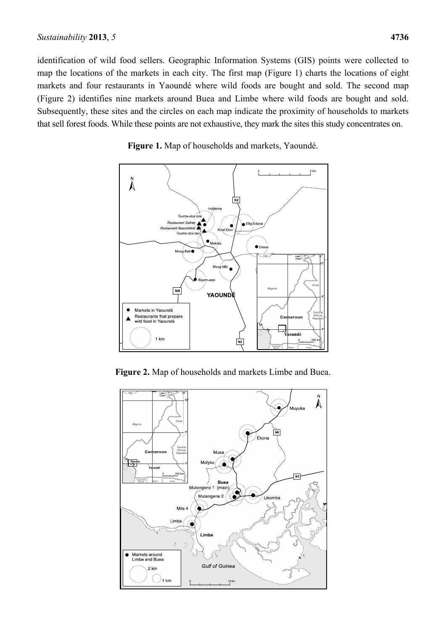identification of wild food sellers. Geographic Information Systems (GIS) points were collected to map the locations of the markets in each city. The first map (Figure 1) charts the locations of eight markets and four restaurants in Yaoundé where wild foods are bought and sold. The second map (Figure 2) identifies nine markets around Buea and Limbe where wild foods are bought and sold. Subsequently, these sites and the circles on each map indicate the proximity of households to markets that sell forest foods. While these points are not exhaustive, they mark the sites this study concentrates on.



**Figure 1.** Map of households and markets, Yaoundé.

**Figure 2.** Map of households and markets Limbe and Buea.

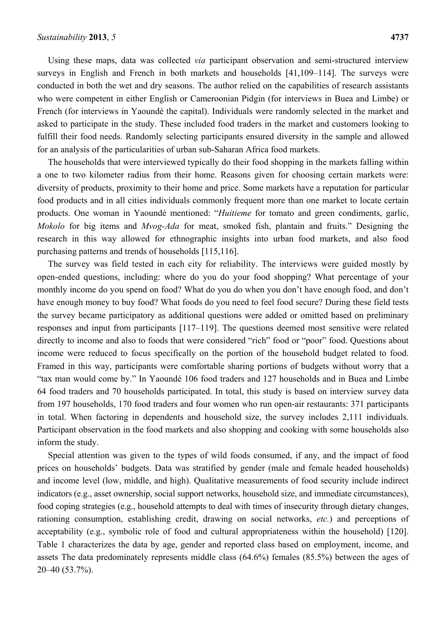Using these maps, data was collected *via* participant observation and semi-structured interview surveys in English and French in both markets and households [41,109–114]. The surveys were conducted in both the wet and dry seasons. The author relied on the capabilities of research assistants who were competent in either English or Cameroonian Pidgin (for interviews in Buea and Limbe) or French (for interviews in Yaoundé the capital). Individuals were randomly selected in the market and asked to participate in the study. These included food traders in the market and customers looking to fulfill their food needs. Randomly selecting participants ensured diversity in the sample and allowed for an analysis of the particularities of urban sub-Saharan Africa food markets.

The households that were interviewed typically do their food shopping in the markets falling within a one to two kilometer radius from their home. Reasons given for choosing certain markets were: diversity of products, proximity to their home and price. Some markets have a reputation for particular food products and in all cities individuals commonly frequent more than one market to locate certain products. One woman in Yaoundé mentioned: "*Huitieme* for tomato and green condiments, garlic, *Mokolo* for big items and *Mvog-Ada* for meat, smoked fish, plantain and fruits." Designing the research in this way allowed for ethnographic insights into urban food markets, and also food purchasing patterns and trends of households [115,116].

The survey was field tested in each city for reliability. The interviews were guided mostly by open-ended questions, including: where do you do your food shopping? What percentage of your monthly income do you spend on food? What do you do when you don't have enough food, and don't have enough money to buy food? What foods do you need to feel food secure? During these field tests the survey became participatory as additional questions were added or omitted based on preliminary responses and input from participants [117–119]. The questions deemed most sensitive were related directly to income and also to foods that were considered "rich" food or "poor" food. Questions about income were reduced to focus specifically on the portion of the household budget related to food. Framed in this way, participants were comfortable sharing portions of budgets without worry that a "tax man would come by." In Yaoundé 106 food traders and 127 households and in Buea and Limbe 64 food traders and 70 households participated. In total, this study is based on interview survey data from 197 households, 170 food traders and four women who run open-air restaurants: 371 participants in total. When factoring in dependents and household size, the survey includes 2,111 individuals. Participant observation in the food markets and also shopping and cooking with some households also inform the study.

Special attention was given to the types of wild foods consumed, if any, and the impact of food prices on households' budgets. Data was stratified by gender (male and female headed households) and income level (low, middle, and high). Qualitative measurements of food security include indirect indicators (e.g., asset ownership, social support networks, household size, and immediate circumstances), food coping strategies (e.g., household attempts to deal with times of insecurity through dietary changes, rationing consumption, establishing credit, drawing on social networks, *etc.*) and perceptions of acceptability (e.g., symbolic role of food and cultural appropriateness within the household) [120]. Table 1 characterizes the data by age, gender and reported class based on employment, income, and assets The data predominately represents middle class (64.6%) females (85.5%) between the ages of 20–40 (53.7%).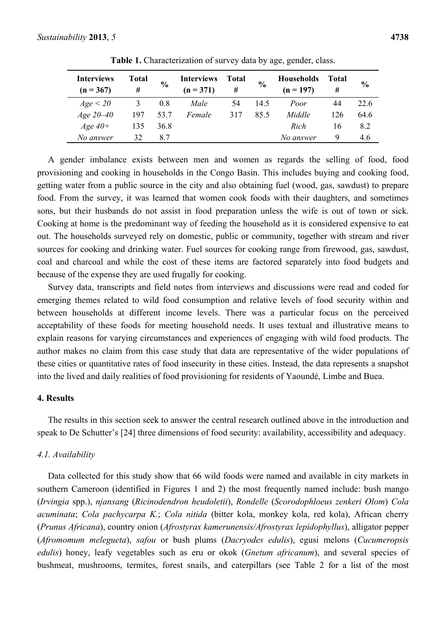| <b>Interviews</b><br>$(n = 367)$ | <b>Total</b><br># | $\frac{0}{0}$ | <b>Interviews</b><br>$(n = 371)$ | <b>Total</b><br># | $\frac{6}{6}$ | <b>Households</b><br>$(n = 197)$ | Total<br># | $\frac{0}{0}$ |
|----------------------------------|-------------------|---------------|----------------------------------|-------------------|---------------|----------------------------------|------------|---------------|
| Age < 20                         |                   | 0.8           | Male                             | 54                | 14.5          | Poor                             | 44         | 22.6          |
| Age $20-40$                      | 197               | 53.7          | Female                           | 317               | 85.5          | Middle                           | 126        | 64.6          |
| $Age\,40+$                       | 135               | 36.8          |                                  |                   |               | Rich                             | 16         | 8.2           |
| No answer                        | 32                | 87            |                                  |                   |               | No answer                        | 9          | 4.6           |

**Table 1.** Characterization of survey data by age, gender, class.

A gender imbalance exists between men and women as regards the selling of food, food provisioning and cooking in households in the Congo Basin. This includes buying and cooking food, getting water from a public source in the city and also obtaining fuel (wood, gas, sawdust) to prepare food. From the survey, it was learned that women cook foods with their daughters, and sometimes sons, but their husbands do not assist in food preparation unless the wife is out of town or sick. Cooking at home is the predominant way of feeding the household as it is considered expensive to eat out. The households surveyed rely on domestic, public or community, together with stream and river sources for cooking and drinking water. Fuel sources for cooking range from firewood, gas, sawdust, coal and charcoal and while the cost of these items are factored separately into food budgets and because of the expense they are used frugally for cooking.

Survey data, transcripts and field notes from interviews and discussions were read and coded for emerging themes related to wild food consumption and relative levels of food security within and between households at different income levels. There was a particular focus on the perceived acceptability of these foods for meeting household needs. It uses textual and illustrative means to explain reasons for varying circumstances and experiences of engaging with wild food products. The author makes no claim from this case study that data are representative of the wider populations of these cities or quantitative rates of food insecurity in these cities. Instead, the data represents a snapshot into the lived and daily realities of food provisioning for residents of Yaoundé, Limbe and Buea.

## **4. Results**

The results in this section seek to answer the central research outlined above in the introduction and speak to De Schutter's [24] three dimensions of food security: availability, accessibility and adequacy.

#### *4.1. Availability*

Data collected for this study show that 66 wild foods were named and available in city markets in southern Cameroon (identified in Figures 1 and 2) the most frequently named include: bush mango (*Irvingia* spp.), *njansang* (*Ricinodendron heudoletii*), *Rondelle* (*Scorodophloeus zenkeri Olom*) *Cola acuminata*; *Cola pachycarpa K.*; *Cola nitida* (bitter kola, monkey kola, red kola), African cherry (*Prunus Africana*), country onion (*Afrostyrax kamerunensis/Afrostyrax lepidophyllus*), alligator pepper (*Afromomum melegueta*), *safou* or bush plums (*Dacryodes edulis*), egusi melons (*Cucumeropsis edulis*) honey, leafy vegetables such as eru or okok (*Gnetum africanum*), and several species of bushmeat, mushrooms, termites, forest snails, and caterpillars (see Table 2 for a list of the most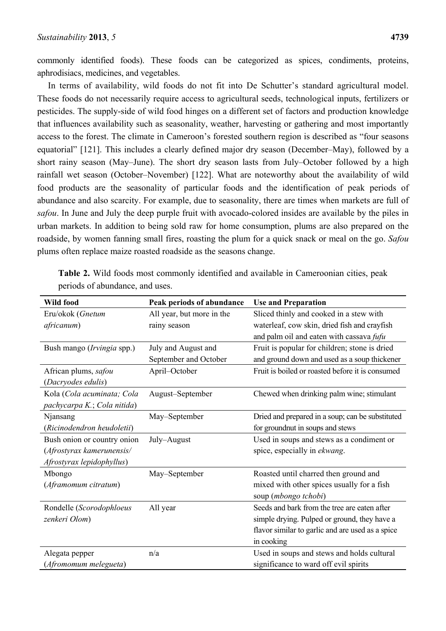commonly identified foods). These foods can be categorized as spices, condiments, proteins, aphrodisiacs, medicines, and vegetables.

In terms of availability, wild foods do not fit into De Schutter's standard agricultural model. These foods do not necessarily require access to agricultural seeds, technological inputs, fertilizers or pesticides. The supply-side of wild food hinges on a different set of factors and production knowledge that influences availability such as seasonality, weather, harvesting or gathering and most importantly access to the forest. The climate in Cameroon's forested southern region is described as "four seasons equatorial" [121]. This includes a clearly defined major dry season (December–May), followed by a short rainy season (May–June). The short dry season lasts from July–October followed by a high rainfall wet season (October–November) [122]. What are noteworthy about the availability of wild food products are the seasonality of particular foods and the identification of peak periods of abundance and also scarcity. For example, due to seasonality, there are times when markets are full of *safou*. In June and July the deep purple fruit with avocado-colored insides are available by the piles in urban markets. In addition to being sold raw for home consumption, plums are also prepared on the roadside, by women fanning small fires, roasting the plum for a quick snack or meal on the go. *Safou* plums often replace maize roasted roadside as the seasons change.

| <b>Wild food</b>            | Peak periods of abundance | <b>Use and Preparation</b>                       |  |
|-----------------------------|---------------------------|--------------------------------------------------|--|
| Eru/okok (Gnetum            | All year, but more in the | Sliced thinly and cooked in a stew with          |  |
| africanum)                  | rainy season              | waterleaf, cow skin, dried fish and crayfish     |  |
|                             |                           | and palm oil and eaten with cassava fufu         |  |
| Bush mango (Irvingia spp.)  | July and August and       | Fruit is popular for children; stone is dried    |  |
|                             | September and October     | and ground down and used as a soup thickener     |  |
| African plums, safou        | April-October             | Fruit is boiled or roasted before it is consumed |  |
| (Dacryodes edulis)          |                           |                                                  |  |
| Kola (Cola acuminata; Cola  | August-September          | Chewed when drinking palm wine; stimulant        |  |
| pachycarpa K.; Cola nitida) |                           |                                                  |  |
| Njansang                    | May-September             | Dried and prepared in a soup; can be substituted |  |
| (Ricinodendron heudoletii)  |                           | for groundnut in soups and stews                 |  |
| Bush onion or country onion | July-August               | Used in soups and stews as a condiment or        |  |
| (Afrostyrax kamerunensis/   |                           | spice, especially in <i>ekwang</i> .             |  |
| Afrostyrax lepidophyllus)   |                           |                                                  |  |
| Mbongo                      | May-September             | Roasted until charred then ground and            |  |
| (Aframomum citratum)        |                           | mixed with other spices usually for a fish       |  |
|                             |                           | soup (mbongo tchobi)                             |  |
| Rondelle (Scorodophloeus    | All year                  | Seeds and bark from the tree are eaten after     |  |
| zenkeri Olom)               |                           | simple drying. Pulped or ground, they have a     |  |
|                             |                           | flavor similar to garlic and are used as a spice |  |
|                             |                           | in cooking                                       |  |
| Alegata pepper              | n/a                       | Used in soups and stews and holds cultural       |  |
| (Afromomum melegueta)       |                           | significance to ward off evil spirits            |  |

**Table 2.** Wild foods most commonly identified and available in Cameroonian cities, peak periods of abundance, and uses.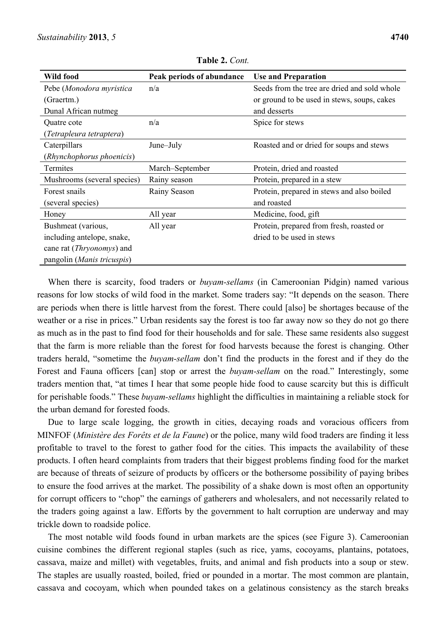| Wild food                          | Peak periods of abundance | <b>Use and Preparation</b>                   |  |
|------------------------------------|---------------------------|----------------------------------------------|--|
| Pebe (Monodora myristica           | n/a                       | Seeds from the tree are dried and sold whole |  |
| (Graertm.)                         |                           | or ground to be used in stews, soups, cakes  |  |
| Dunal African nutmeg               |                           | and desserts                                 |  |
| Quatre cote                        | n/a                       | Spice for stews                              |  |
| (Tetrapleura tetraptera)           |                           |                                              |  |
| Caterpillars                       | June-July                 | Roasted and or dried for soups and stews     |  |
| (Rhynchophorus phoenicis)          |                           |                                              |  |
| Termites                           | March-September           | Protein, dried and roasted                   |  |
| Mushrooms (several species)        | Rainy season              | Protein, prepared in a stew                  |  |
| Forest snails                      | Rainy Season              | Protein, prepared in stews and also boiled   |  |
| (several species)                  |                           | and roasted                                  |  |
| Honey                              | All year                  | Medicine, food, gift                         |  |
| Bushmeat (various,                 | All year                  | Protein, prepared from fresh, roasted or     |  |
| including antelope, snake,         |                           | dried to be used in stews                    |  |
| cane rat ( <i>Thryonomys</i> ) and |                           |                                              |  |
| pangolin (Manis tricuspis)         |                           |                                              |  |

**Table 2.** *Cont.* 

When there is scarcity, food traders or *buyam-sellams* (in Cameroonian Pidgin) named various reasons for low stocks of wild food in the market. Some traders say: "It depends on the season. There are periods when there is little harvest from the forest. There could [also] be shortages because of the weather or a rise in prices." Urban residents say the forest is too far away now so they do not go there as much as in the past to find food for their households and for sale. These same residents also suggest that the farm is more reliable than the forest for food harvests because the forest is changing. Other traders herald, "sometime the *buyam-sellam* don't find the products in the forest and if they do the Forest and Fauna officers [can] stop or arrest the *buyam-sellam* on the road." Interestingly, some traders mention that, "at times I hear that some people hide food to cause scarcity but this is difficult for perishable foods." These *buyam-sellams* highlight the difficulties in maintaining a reliable stock for the urban demand for forested foods.

Due to large scale logging, the growth in cities, decaying roads and voracious officers from MINFOF (*Ministère des Forêts et de la Faune*) or the police, many wild food traders are finding it less profitable to travel to the forest to gather food for the cities. This impacts the availability of these products. I often heard complaints from traders that their biggest problems finding food for the market are because of threats of seizure of products by officers or the bothersome possibility of paying bribes to ensure the food arrives at the market. The possibility of a shake down is most often an opportunity for corrupt officers to "chop" the earnings of gatherers and wholesalers, and not necessarily related to the traders going against a law. Efforts by the government to halt corruption are underway and may trickle down to roadside police.

The most notable wild foods found in urban markets are the spices (see Figure 3). Cameroonian cuisine combines the different regional staples (such as rice, yams, cocoyams, plantains, potatoes, cassava, maize and millet) with vegetables, fruits, and animal and fish products into a soup or stew. The staples are usually roasted, boiled, fried or pounded in a mortar. The most common are plantain, cassava and cocoyam, which when pounded takes on a gelatinous consistency as the starch breaks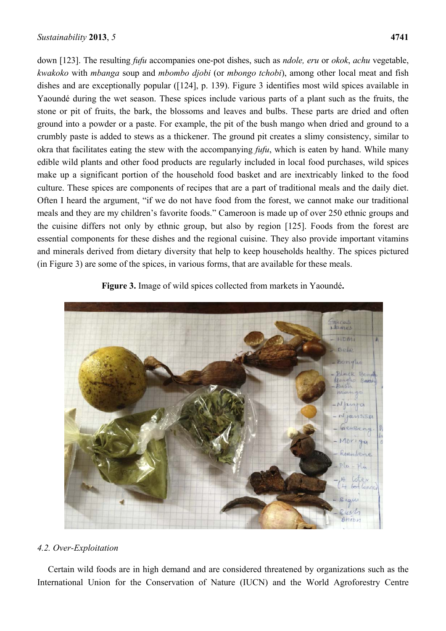down [123]. The resulting *fufu* accompanies one-pot dishes, such as *ndole, eru* or *okok*, *achu* vegetable, *kwakoko* with *mbanga* soup and *mbombo djobi* (or *mbongo tchobi*), among other local meat and fish dishes and are exceptionally popular ([124], p. 139). Figure 3 identifies most wild spices available in Yaoundé during the wet season. These spices include various parts of a plant such as the fruits, the stone or pit of fruits, the bark, the blossoms and leaves and bulbs. These parts are dried and often ground into a powder or a paste. For example, the pit of the bush mango when dried and ground to a crumbly paste is added to stews as a thickener. The ground pit creates a slimy consistency, similar to okra that facilitates eating the stew with the accompanying *fufu*, which is eaten by hand. While many edible wild plants and other food products are regularly included in local food purchases, wild spices make up a significant portion of the household food basket and are inextricably linked to the food culture. These spices are components of recipes that are a part of traditional meals and the daily diet. Often I heard the argument, "if we do not have food from the forest, we cannot make our traditional meals and they are my children's favorite foods." Cameroon is made up of over 250 ethnic groups and the cuisine differs not only by ethnic group, but also by region [125]. Foods from the forest are essential components for these dishes and the regional cuisine. They also provide important vitamins and minerals derived from dietary diversity that help to keep households healthy. The spices pictured (in Figure 3) are some of the spices, in various forms, that are available for these meals.

# **Figure 3.** Image of wild spices collected from markets in Yaoundé**.**



## *4.2. Over-Exploitation*

Certain wild foods are in high demand and are considered threatened by organizations such as the International Union for the Conservation of Nature (IUCN) and the World Agroforestry Centre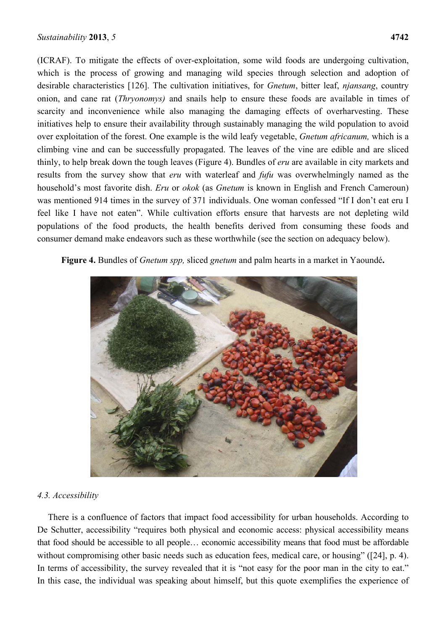(ICRAF). To mitigate the effects of over-exploitation, some wild foods are undergoing cultivation, which is the process of growing and managing wild species through selection and adoption of desirable characteristics [126]. The cultivation initiatives, for *Gnetum*, bitter leaf, *njansang*, country onion, and cane rat (*Thryonomys)* and snails help to ensure these foods are available in times of scarcity and inconvenience while also managing the damaging effects of overharvesting. These initiatives help to ensure their availability through sustainably managing the wild population to avoid over exploitation of the forest. One example is the wild leafy vegetable, *Gnetum africanum,* which is a climbing vine and can be successfully propagated. The leaves of the vine are edible and are sliced thinly, to help break down the tough leaves (Figure 4). Bundles of *eru* are available in city markets and results from the survey show that *eru* with waterleaf and *fufu* was overwhelmingly named as the household's most favorite dish. *Eru* or *okok* (as *Gnetum* is known in English and French Cameroun) was mentioned 914 times in the survey of 371 individuals. One woman confessed "If I don't eat eru I feel like I have not eaten". While cultivation efforts ensure that harvests are not depleting wild populations of the food products, the health benefits derived from consuming these foods and consumer demand make endeavors such as these worthwhile (see the section on adequacy below).

## **Figure 4.** Bundles of *Gnetum spp,* sliced *gnetum* and palm hearts in a market in Yaoundé**.**



## *4.3. Accessibility*

There is a confluence of factors that impact food accessibility for urban households. According to De Schutter, accessibility "requires both physical and economic access: physical accessibility means that food should be accessible to all people… economic accessibility means that food must be affordable without compromising other basic needs such as education fees, medical care, or housing" ([24], p. 4). In terms of accessibility, the survey revealed that it is "not easy for the poor man in the city to eat." In this case, the individual was speaking about himself, but this quote exemplifies the experience of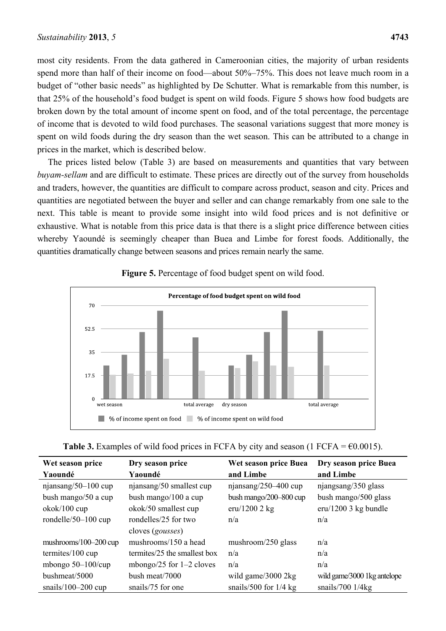most city residents. From the data gathered in Cameroonian cities, the majority of urban residents spend more than half of their income on food—about 50%–75%. This does not leave much room in a budget of "other basic needs" as highlighted by De Schutter. What is remarkable from this number, is that 25% of the household's food budget is spent on wild foods. Figure 5 shows how food budgets are broken down by the total amount of income spent on food, and of the total percentage, the percentage of income that is devoted to wild food purchases. The seasonal variations suggest that more money is spent on wild foods during the dry season than the wet season. This can be attributed to a change in prices in the market, which is described below.

The prices listed below (Table 3) are based on measurements and quantities that vary between *buyam-sellam* and are difficult to estimate. These prices are directly out of the survey from households and traders, however, the quantities are difficult to compare across product, season and city. Prices and quantities are negotiated between the buyer and seller and can change remarkably from one sale to the next. This table is meant to provide some insight into wild food prices and is not definitive or exhaustive. What is notable from this price data is that there is a slight price difference between cities whereby Yaoundé is seemingly cheaper than Buea and Limbe for forest foods. Additionally, the quantities dramatically change between seasons and prices remain nearly the same.



## **Figure 5.** Percentage of food budget spent on wild food.

| <b>Table 3.</b> Examples of wild food prices in FCFA by city and season (1 FCFA = $\epsilon$ 0.0015). |  |  |  |
|-------------------------------------------------------------------------------------------------------|--|--|--|
|-------------------------------------------------------------------------------------------------------|--|--|--|

| Wet season price            | Dry season price             | Wet season price Buea       | Dry season price Buea       |
|-----------------------------|------------------------------|-----------------------------|-----------------------------|
| Yaoundé                     | Yaoundé                      | and Limbe                   | and Limbe                   |
| njansang/50-100 cup         | njansang/50 smallest cup     | njansang/250-400 cup        | njangsang/350 glass         |
| bush mango/50 a cup         | bush mango/100 a cup         | bush mango/ $200 - 800$ cup | bush mango/500 glass        |
| okok/100 cup                | okok/50 smallest cup         | $eru/12002$ kg              | $eru/1200$ 3 kg bundle      |
| rondelle/50 $-100$ cup      | rondelles/25 for two         | n/a                         | n/a                         |
|                             | cloves ( <i>gousses</i> )    |                             |                             |
| mushrooms/ $100-200$ cup    | mushrooms/150 a head         | mushroom/250 glass          | n/a                         |
| termites/ $100 \text{ cup}$ | termites/25 the smallest box | n/a                         | n/a                         |
| mbongo $50-100$ /cup        | mbongo/25 for $1-2$ cloves   | n/a                         | n/a                         |
| bushmeat/5000               | bush meat/7000               | wild game/3000 2kg          | wild game/3000 1kg antelope |
| snails/100 $-200$ cup       | snails/75 for one            | snails/500 for $1/4$ kg     | snails/700 $1/4$ kg         |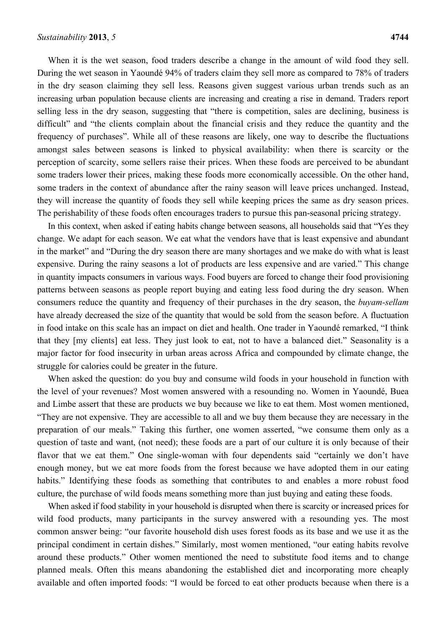When it is the wet season, food traders describe a change in the amount of wild food they sell. During the wet season in Yaoundé 94% of traders claim they sell more as compared to 78% of traders in the dry season claiming they sell less. Reasons given suggest various urban trends such as an increasing urban population because clients are increasing and creating a rise in demand. Traders report selling less in the dry season, suggesting that "there is competition, sales are declining, business is difficult" and "the clients complain about the financial crisis and they reduce the quantity and the frequency of purchases". While all of these reasons are likely, one way to describe the fluctuations amongst sales between seasons is linked to physical availability: when there is scarcity or the perception of scarcity, some sellers raise their prices. When these foods are perceived to be abundant some traders lower their prices, making these foods more economically accessible. On the other hand, some traders in the context of abundance after the rainy season will leave prices unchanged. Instead, they will increase the quantity of foods they sell while keeping prices the same as dry season prices. The perishability of these foods often encourages traders to pursue this pan-seasonal pricing strategy.

In this context, when asked if eating habits change between seasons, all households said that "Yes they change. We adapt for each season. We eat what the vendors have that is least expensive and abundant in the market" and "During the dry season there are many shortages and we make do with what is least expensive. During the rainy seasons a lot of products are less expensive and are varied." This change in quantity impacts consumers in various ways. Food buyers are forced to change their food provisioning patterns between seasons as people report buying and eating less food during the dry season. When consumers reduce the quantity and frequency of their purchases in the dry season, the *buyam-sellam* have already decreased the size of the quantity that would be sold from the season before. A fluctuation in food intake on this scale has an impact on diet and health. One trader in Yaoundé remarked, "I think that they [my clients] eat less. They just look to eat, not to have a balanced diet." Seasonality is a major factor for food insecurity in urban areas across Africa and compounded by climate change, the struggle for calories could be greater in the future.

When asked the question: do you buy and consume wild foods in your household in function with the level of your revenues? Most women answered with a resounding no. Women in Yaoundé, Buea and Limbe assert that these are products we buy because we like to eat them. Most women mentioned, "They are not expensive. They are accessible to all and we buy them because they are necessary in the preparation of our meals." Taking this further, one women asserted, "we consume them only as a question of taste and want, (not need); these foods are a part of our culture it is only because of their flavor that we eat them." One single-woman with four dependents said "certainly we don't have enough money, but we eat more foods from the forest because we have adopted them in our eating habits." Identifying these foods as something that contributes to and enables a more robust food culture, the purchase of wild foods means something more than just buying and eating these foods.

When asked if food stability in your household is disrupted when there is scarcity or increased prices for wild food products, many participants in the survey answered with a resounding yes. The most common answer being: "our favorite household dish uses forest foods as its base and we use it as the principal condiment in certain dishes." Similarly, most women mentioned, "our eating habits revolve around these products." Other women mentioned the need to substitute food items and to change planned meals. Often this means abandoning the established diet and incorporating more cheaply available and often imported foods: "I would be forced to eat other products because when there is a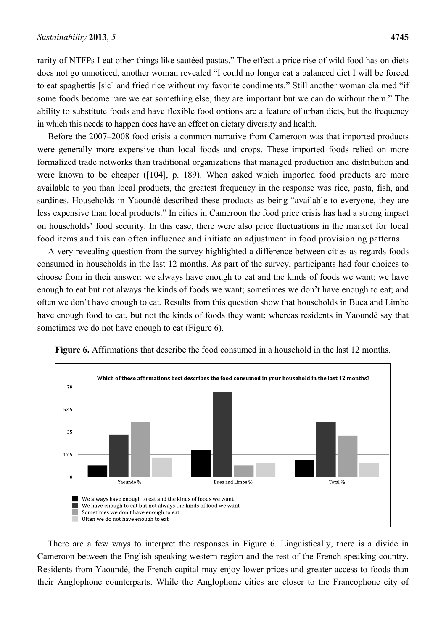rarity of NTFPs I eat other things like sautéed pastas." The effect a price rise of wild food has on diets does not go unnoticed, another woman revealed "I could no longer eat a balanced diet I will be forced to eat spaghettis [sic] and fried rice without my favorite condiments." Still another woman claimed "if some foods become rare we eat something else, they are important but we can do without them." The ability to substitute foods and have flexible food options are a feature of urban diets, but the frequency in which this needs to happen does have an effect on dietary diversity and health.

Before the 2007–2008 food crisis a common narrative from Cameroon was that imported products were generally more expensive than local foods and crops. These imported foods relied on more formalized trade networks than traditional organizations that managed production and distribution and were known to be cheaper ([104], p. 189). When asked which imported food products are more available to you than local products, the greatest frequency in the response was rice, pasta, fish, and sardines. Households in Yaoundé described these products as being "available to everyone, they are less expensive than local products." In cities in Cameroon the food price crisis has had a strong impact on households' food security. In this case, there were also price fluctuations in the market for local food items and this can often influence and initiate an adjustment in food provisioning patterns.

A very revealing question from the survey highlighted a difference between cities as regards foods consumed in households in the last 12 months. As part of the survey, participants had four choices to choose from in their answer: we always have enough to eat and the kinds of foods we want; we have enough to eat but not always the kinds of foods we want; sometimes we don't have enough to eat; and often we don't have enough to eat. Results from this question show that households in Buea and Limbe have enough food to eat, but not the kinds of foods they want; whereas residents in Yaoundé say that sometimes we do not have enough to eat (Figure 6).



**Figure 6.** Affirmations that describe the food consumed in a household in the last 12 months.

There are a few ways to interpret the responses in Figure 6. Linguistically, there is a divide in Cameroon between the English-speaking western region and the rest of the French speaking country. Residents from Yaoundé, the French capital may enjoy lower prices and greater access to foods than their Anglophone counterparts. While the Anglophone cities are closer to the Francophone city of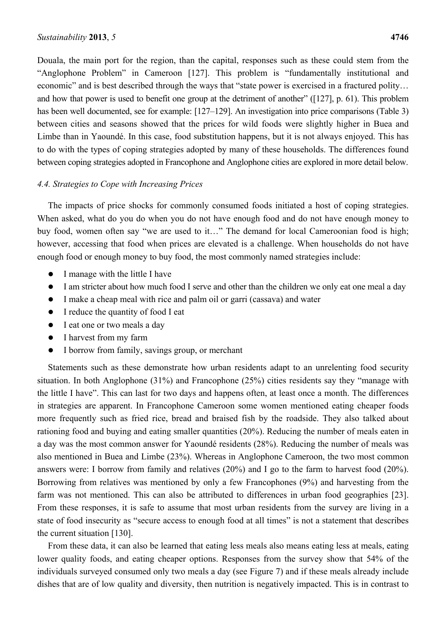Douala, the main port for the region, than the capital, responses such as these could stem from the "Anglophone Problem" in Cameroon [127]. This problem is "fundamentally institutional and economic" and is best described through the ways that "state power is exercised in a fractured polity... and how that power is used to benefit one group at the detriment of another" ([127], p. 61). This problem has been well documented, see for example: [127–129]. An investigation into price comparisons (Table 3) between cities and seasons showed that the prices for wild foods were slightly higher in Buea and Limbe than in Yaoundé. In this case, food substitution happens, but it is not always enjoyed. This has to do with the types of coping strategies adopted by many of these households. The differences found between coping strategies adopted in Francophone and Anglophone cities are explored in more detail below.

## *4.4. Strategies to Cope with Increasing Prices*

The impacts of price shocks for commonly consumed foods initiated a host of coping strategies. When asked, what do you do when you do not have enough food and do not have enough money to buy food, women often say "we are used to it..." The demand for local Cameroonian food is high; however, accessing that food when prices are elevated is a challenge. When households do not have enough food or enough money to buy food, the most commonly named strategies include:

- I manage with the little I have
- I am stricter about how much food I serve and other than the children we only eat one meal a day
- I make a cheap meal with rice and palm oil or garri (cassava) and water
- I reduce the quantity of food I eat
- I eat one or two meals a day
- I harvest from my farm
- I borrow from family, savings group, or merchant

Statements such as these demonstrate how urban residents adapt to an unrelenting food security situation. In both Anglophone (31%) and Francophone (25%) cities residents say they "manage with the little I have". This can last for two days and happens often, at least once a month. The differences in strategies are apparent. In Francophone Cameroon some women mentioned eating cheaper foods more frequently such as fried rice, bread and braised fish by the roadside. They also talked about rationing food and buying and eating smaller quantities (20%). Reducing the number of meals eaten in a day was the most common answer for Yaoundé residents (28%). Reducing the number of meals was also mentioned in Buea and Limbe (23%). Whereas in Anglophone Cameroon, the two most common answers were: I borrow from family and relatives (20%) and I go to the farm to harvest food (20%). Borrowing from relatives was mentioned by only a few Francophones (9%) and harvesting from the farm was not mentioned. This can also be attributed to differences in urban food geographies [23]. From these responses, it is safe to assume that most urban residents from the survey are living in a state of food insecurity as "secure access to enough food at all times" is not a statement that describes the current situation [130].

From these data, it can also be learned that eating less meals also means eating less at meals, eating lower quality foods, and eating cheaper options. Responses from the survey show that 54% of the individuals surveyed consumed only two meals a day (see Figure 7) and if these meals already include dishes that are of low quality and diversity, then nutrition is negatively impacted. This is in contrast to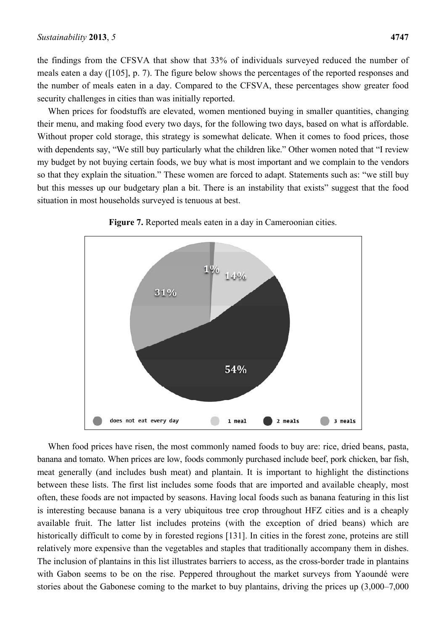the findings from the CFSVA that show that 33% of individuals surveyed reduced the number of meals eaten a day ([105], p. 7). The figure below shows the percentages of the reported responses and the number of meals eaten in a day. Compared to the CFSVA, these percentages show greater food security challenges in cities than was initially reported.

When prices for foodstuffs are elevated, women mentioned buying in smaller quantities, changing their menu, and making food every two days, for the following two days, based on what is affordable. Without proper cold storage, this strategy is somewhat delicate. When it comes to food prices, those with dependents say, "We still buy particularly what the children like." Other women noted that "I review my budget by not buying certain foods, we buy what is most important and we complain to the vendors so that they explain the situation." These women are forced to adapt. Statements such as: "we still buy but this messes up our budgetary plan a bit. There is an instability that exists" suggest that the food situation in most households surveyed is tenuous at best.





When food prices have risen, the most commonly named foods to buy are: rice, dried beans, pasta, banana and tomato. When prices are low, foods commonly purchased include beef, pork chicken, bar fish, meat generally (and includes bush meat) and plantain. It is important to highlight the distinctions between these lists. The first list includes some foods that are imported and available cheaply, most often, these foods are not impacted by seasons. Having local foods such as banana featuring in this list is interesting because banana is a very ubiquitous tree crop throughout HFZ cities and is a cheaply available fruit. The latter list includes proteins (with the exception of dried beans) which are historically difficult to come by in forested regions [131]. In cities in the forest zone, proteins are still relatively more expensive than the vegetables and staples that traditionally accompany them in dishes. The inclusion of plantains in this list illustrates barriers to access, as the cross-border trade in plantains with Gabon seems to be on the rise. Peppered throughout the market surveys from Yaoundé were stories about the Gabonese coming to the market to buy plantains, driving the prices up (3,000–7,000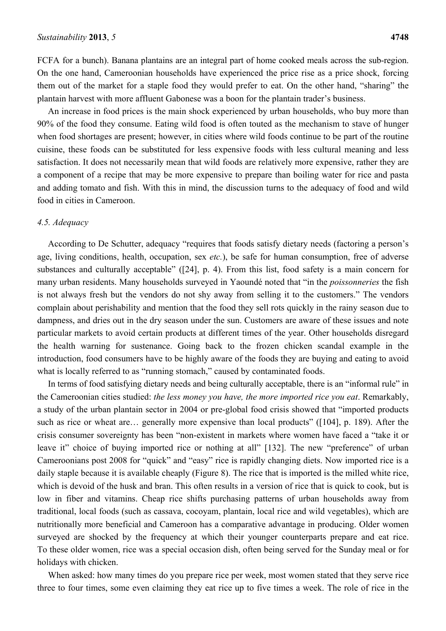FCFA for a bunch). Banana plantains are an integral part of home cooked meals across the sub-region. On the one hand, Cameroonian households have experienced the price rise as a price shock, forcing them out of the market for a staple food they would prefer to eat. On the other hand, "sharing" the plantain harvest with more affluent Gabonese was a boon for the plantain trader's business.

An increase in food prices is the main shock experienced by urban households, who buy more than 90% of the food they consume. Eating wild food is often touted as the mechanism to stave of hunger when food shortages are present; however, in cities where wild foods continue to be part of the routine cuisine, these foods can be substituted for less expensive foods with less cultural meaning and less satisfaction. It does not necessarily mean that wild foods are relatively more expensive, rather they are a component of a recipe that may be more expensive to prepare than boiling water for rice and pasta and adding tomato and fish. With this in mind, the discussion turns to the adequacy of food and wild food in cities in Cameroon.

#### *4.5. Adequacy*

According to De Schutter, adequacy "requires that foods satisfy dietary needs (factoring a person's age, living conditions, health, occupation, sex *etc.*), be safe for human consumption, free of adverse substances and culturally acceptable" ([24], p. 4). From this list, food safety is a main concern for many urban residents. Many households surveyed in Yaoundé noted that "in the *poissonneries* the fish is not always fresh but the vendors do not shy away from selling it to the customers." The vendors complain about perishability and mention that the food they sell rots quickly in the rainy season due to dampness, and dries out in the dry season under the sun. Customers are aware of these issues and note particular markets to avoid certain products at different times of the year. Other households disregard the health warning for sustenance. Going back to the frozen chicken scandal example in the introduction, food consumers have to be highly aware of the foods they are buying and eating to avoid what is locally referred to as "running stomach," caused by contaminated foods.

In terms of food satisfying dietary needs and being culturally acceptable, there is an "informal rule" in the Cameroonian cities studied: *the less money you have, the more imported rice you eat*. Remarkably, a study of the urban plantain sector in 2004 or pre-global food crisis showed that "imported products such as rice or wheat are... generally more expensive than local products" ([104], p. 189). After the crisis consumer sovereignty has been "non-existent in markets where women have faced a "take it or leave it" choice of buying imported rice or nothing at all" [132]. The new "preference" of urban Cameroonians post 2008 for "quick" and "easy" rice is rapidly changing diets. Now imported rice is a daily staple because it is available cheaply (Figure 8). The rice that is imported is the milled white rice, which is devoid of the husk and bran. This often results in a version of rice that is quick to cook, but is low in fiber and vitamins. Cheap rice shifts purchasing patterns of urban households away from traditional, local foods (such as cassava, cocoyam, plantain, local rice and wild vegetables), which are nutritionally more beneficial and Cameroon has a comparative advantage in producing. Older women surveyed are shocked by the frequency at which their younger counterparts prepare and eat rice. To these older women, rice was a special occasion dish, often being served for the Sunday meal or for holidays with chicken.

When asked: how many times do you prepare rice per week, most women stated that they serve rice three to four times, some even claiming they eat rice up to five times a week. The role of rice in the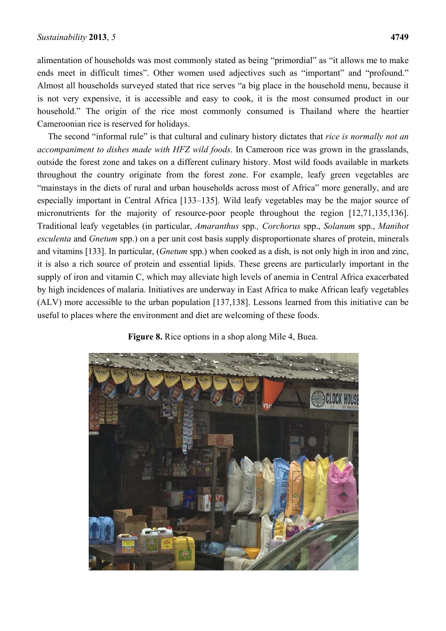alimentation of households was most commonly stated as being "primordial" as "it allows me to make ends meet in difficult times". Other women used adjectives such as "important" and "profound." Almost all households surveyed stated that rice serves "a big place in the household menu, because it is not very expensive, it is accessible and easy to cook, it is the most consumed product in our household." The origin of the rice most commonly consumed is Thailand where the heartier Cameroonian rice is reserved for holidays.

The second "informal rule" is that cultural and culinary history dictates that *rice is normally not an accompaniment to dishes made with HFZ wild foods*. In Cameroon rice was grown in the grasslands, outside the forest zone and takes on a different culinary history. Most wild foods available in markets throughout the country originate from the forest zone. For example, leafy green vegetables are "mainstays in the diets of rural and urban households across most of Africa" more generally, and are especially important in Central Africa [133–135]. Wild leafy vegetables may be the major source of micronutrients for the majority of resource-poor people throughout the region [12,71,135,136]. Traditional leafy vegetables (in particular, *Amaranthus* spp*., Corchorus* spp., *Solanum* spp., *Manihot esculenta* and *Gnetum* spp.) on a per unit cost basis supply disproportionate shares of protein, minerals and vitamins [133]. In particular, (*Gnetum* spp.) when cooked as a dish, is not only high in iron and zinc, it is also a rich source of protein and essential lipids. These greens are particularly important in the supply of iron and vitamin C, which may alleviate high levels of anemia in Central Africa exacerbated by high incidences of malaria. Initiatives are underway in East Africa to make African leafy vegetables (ALV) more accessible to the urban population [137,138]. Lessons learned from this initiative can be useful to places where the environment and diet are welcoming of these foods.

**Figure 8.** Rice options in a shop along Mile 4, Buea.

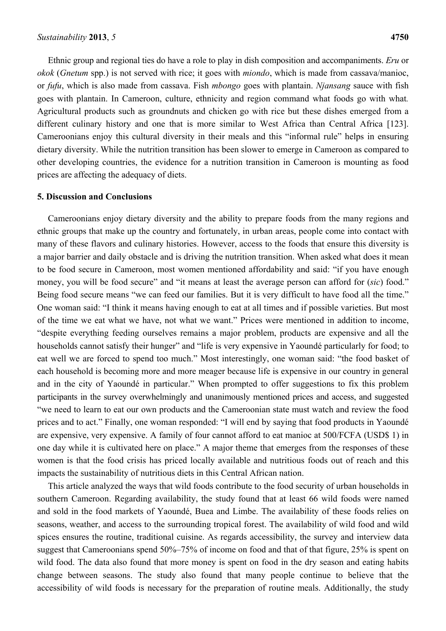Ethnic group and regional ties do have a role to play in dish composition and accompaniments. *Eru* or *okok* (*Gnetum* spp.) is not served with rice; it goes with *miondo*, which is made from cassava/manioc, or *fufu*, which is also made from cassava. Fish *mbongo* goes with plantain. *Njansang* sauce with fish goes with plantain. In Cameroon, culture, ethnicity and region command what foods go with what*.* Agricultural products such as groundnuts and chicken go with rice but these dishes emerged from a different culinary history and one that is more similar to West Africa than Central Africa [123]. Cameroonians enjoy this cultural diversity in their meals and this "informal rule" helps in ensuring dietary diversity. While the nutrition transition has been slower to emerge in Cameroon as compared to other developing countries, the evidence for a nutrition transition in Cameroon is mounting as food prices are affecting the adequacy of diets.

#### **5. Discussion and Conclusions**

Cameroonians enjoy dietary diversity and the ability to prepare foods from the many regions and ethnic groups that make up the country and fortunately, in urban areas, people come into contact with many of these flavors and culinary histories. However, access to the foods that ensure this diversity is a major barrier and daily obstacle and is driving the nutrition transition. When asked what does it mean to be food secure in Cameroon, most women mentioned affordability and said: "if you have enough money, you will be food secure" and "it means at least the average person can afford for (*sic*) food." Being food secure means "we can feed our families. But it is very difficult to have food all the time." One woman said: "I think it means having enough to eat at all times and if possible varieties. But most of the time we eat what we have, not what we want." Prices were mentioned in addition to income, "despite everything feeding ourselves remains a major problem, products are expensive and all the households cannot satisfy their hunger" and "life is very expensive in Yaoundé particularly for food; to eat well we are forced to spend too much." Most interestingly, one woman said: "the food basket of each household is becoming more and more meager because life is expensive in our country in general and in the city of Yaoundé in particular." When prompted to offer suggestions to fix this problem participants in the survey overwhelmingly and unanimously mentioned prices and access, and suggested "we need to learn to eat our own products and the Cameroonian state must watch and review the food prices and to act." Finally, one woman responded: "I will end by saying that food products in Yaoundé are expensive, very expensive. A family of four cannot afford to eat manioc at 500/FCFA (USD\$ 1) in one day while it is cultivated here on place." A major theme that emerges from the responses of these women is that the food crisis has priced locally available and nutritious foods out of reach and this impacts the sustainability of nutritious diets in this Central African nation.

This article analyzed the ways that wild foods contribute to the food security of urban households in southern Cameroon. Regarding availability, the study found that at least 66 wild foods were named and sold in the food markets of Yaoundé, Buea and Limbe. The availability of these foods relies on seasons, weather, and access to the surrounding tropical forest. The availability of wild food and wild spices ensures the routine, traditional cuisine. As regards accessibility, the survey and interview data suggest that Cameroonians spend 50%–75% of income on food and that of that figure, 25% is spent on wild food. The data also found that more money is spent on food in the dry season and eating habits change between seasons. The study also found that many people continue to believe that the accessibility of wild foods is necessary for the preparation of routine meals. Additionally, the study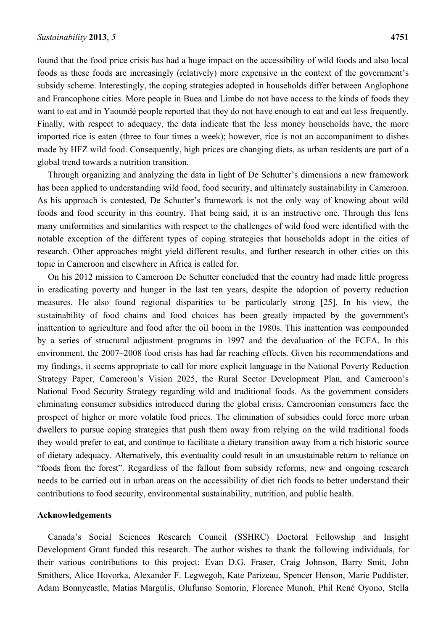found that the food price crisis has had a huge impact on the accessibility of wild foods and also local foods as these foods are increasingly (relatively) more expensive in the context of the government's subsidy scheme. Interestingly, the coping strategies adopted in households differ between Anglophone and Francophone cities. More people in Buea and Limbe do not have access to the kinds of foods they want to eat and in Yaoundé people reported that they do not have enough to eat and eat less frequently. Finally, with respect to adequacy, the data indicate that the less money households have, the more imported rice is eaten (three to four times a week); however, rice is not an accompaniment to dishes made by HFZ wild food. Consequently, high prices are changing diets, as urban residents are part of a global trend towards a nutrition transition.

Through organizing and analyzing the data in light of De Schutter's dimensions a new framework has been applied to understanding wild food, food security, and ultimately sustainability in Cameroon. As his approach is contested, De Schutter's framework is not the only way of knowing about wild foods and food security in this country. That being said, it is an instructive one. Through this lens many uniformities and similarities with respect to the challenges of wild food were identified with the notable exception of the different types of coping strategies that households adopt in the cities of research. Other approaches might yield different results, and further research in other cities on this topic in Cameroon and elsewhere in Africa is called for.

On his 2012 mission to Cameroon De Schutter concluded that the country had made little progress in eradicating poverty and hunger in the last ten years, despite the adoption of poverty reduction measures. He also found regional disparities to be particularly strong [25]. In his view, the sustainability of food chains and food choices has been greatly impacted by the government's inattention to agriculture and food after the oil boom in the 1980s. This inattention was compounded by a series of structural adjustment programs in 1997 and the devaluation of the FCFA. In this environment, the 2007–2008 food crisis has had far reaching effects. Given his recommendations and my findings, it seems appropriate to call for more explicit language in the National Poverty Reduction Strategy Paper, Cameroon's Vision 2025, the Rural Sector Development Plan, and Cameroon's National Food Security Strategy regarding wild and traditional foods. As the government considers eliminating consumer subsidies introduced during the global crisis, Cameroonian consumers face the prospect of higher or more volatile food prices. The elimination of subsidies could force more urban dwellers to pursue coping strategies that push them away from relying on the wild traditional foods they would prefer to eat, and continue to facilitate a dietary transition away from a rich historic source of dietary adequacy. Alternatively, this eventuality could result in an unsustainable return to reliance on "foods from the forest". Regardless of the fallout from subsidy reforms, new and ongoing research needs to be carried out in urban areas on the accessibility of diet rich foods to better understand their contributions to food security, environmental sustainability, nutrition, and public health.

#### **Acknowledgements**

Canada's Social Sciences Research Council (SSHRC) Doctoral Fellowship and Insight Development Grant funded this research. The author wishes to thank the following individuals, for their various contributions to this project: Evan D.G. Fraser, Craig Johnson, Barry Smit, John Smithers, Alice Hovorka, Alexander F. Legwegoh, Kate Parizeau, Spencer Henson, Marie Puddister, Adam Bonnycastle, Matias Margulis, Olufunso Somorin, Florence Munoh, Phil René Oyono, Stella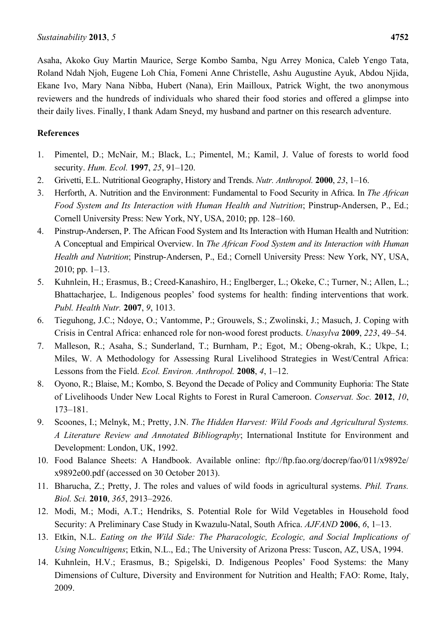Asaha, Akoko Guy Martin Maurice, Serge Kombo Samba, Ngu Arrey Monica, Caleb Yengo Tata, Roland Ndah Njoh, Eugene Loh Chia, Fomeni Anne Christelle, Ashu Augustine Ayuk, Abdou Njida, Ekane Ivo, Mary Nana Nibba, Hubert (Nana), Erin Mailloux, Patrick Wight, the two anonymous reviewers and the hundreds of individuals who shared their food stories and offered a glimpse into their daily lives. Finally, I thank Adam Sneyd, my husband and partner on this research adventure.

# **References**

- 1. Pimentel, D.; McNair, M.; Black, L.; Pimentel, M.; Kamil, J. Value of forests to world food security. *Hum. Ecol.* **1997**, *25*, 91–120.
- 2. Grivetti, E.L. Nutritional Geography, History and Trends. *Nutr. Anthropol.* **2000**, *23*, 1–16.
- 3. Herforth, A. Nutrition and the Environment: Fundamental to Food Security in Africa. In *The African Food System and Its Interaction with Human Health and Nutrition*; Pinstrup-Andersen, P., Ed.; Cornell University Press: New York, NY, USA, 2010; pp. 128–160.
- 4. Pinstrup-Andersen, P. The African Food System and Its Interaction with Human Health and Nutrition: A Conceptual and Empirical Overview. In *The African Food System and its Interaction with Human Health and Nutrition*; Pinstrup-Andersen, P., Ed.; Cornell University Press: New York, NY, USA, 2010; pp. 1–13.
- 5. Kuhnlein, H.; Erasmus, B.; Creed-Kanashiro, H.; Englberger, L.; Okeke, C.; Turner, N.; Allen, L.; Bhattacharjee, L. Indigenous peoples' food systems for health: finding interventions that work. *Publ. Health Nutr.* **2007**, *9*, 1013.
- 6. Tieguhong, J.C.; Ndoye, O.; Vantomme, P.; Grouwels, S.; Zwolinski, J.; Masuch, J. Coping with Crisis in Central Africa: enhanced role for non-wood forest products. *Unasylva* **2009**, *223*, 49–54.
- 7. Malleson, R.; Asaha, S.; Sunderland, T.; Burnham, P.; Egot, M.; Obeng-okrah, K.; Ukpe, I.; Miles, W. A Methodology for Assessing Rural Livelihood Strategies in West/Central Africa: Lessons from the Field. *Ecol. Environ. Anthropol.* **2008**, *4*, 1–12.
- 8. Oyono, R.; Blaise, M.; Kombo, S. Beyond the Decade of Policy and Community Euphoria: The State of Livelihoods Under New Local Rights to Forest in Rural Cameroon. *Conservat. Soc.* **2012**, *10*, 173–181.
- 9. Scoones, I.; Melnyk, M.; Pretty, J.N. *The Hidden Harvest: Wild Foods and Agricultural Systems. A Literature Review and Annotated Bibliography*; International Institute for Environment and Development: London, UK, 1992.
- 10. Food Balance Sheets: A Handbook. Available online: ftp://ftp.fao.org/docrep/fao/011/x9892e/ x9892e00.pdf (accessed on 30 October 2013).
- 11. Bharucha, Z.; Pretty, J. The roles and values of wild foods in agricultural systems. *Phil. Trans. Biol. Sci.* **2010**, *365*, 2913–2926.
- 12. Modi, M.; Modi, A.T.; Hendriks, S. Potential Role for Wild Vegetables in Household food Security: A Preliminary Case Study in Kwazulu-Natal, South Africa. *AJFAND* **2006**, *6*, 1–13.
- 13. Etkin, N.L. *Eating on the Wild Side: The Pharacologic, Ecologic, and Social Implications of Using Noncultigens*; Etkin, N.L., Ed.; The University of Arizona Press: Tuscon, AZ, USA, 1994.
- 14. Kuhnlein, H.V.; Erasmus, B.; Spigelski, D. Indigenous Peoples' Food Systems: the Many Dimensions of Culture, Diversity and Environment for Nutrition and Health; FAO: Rome, Italy, 2009.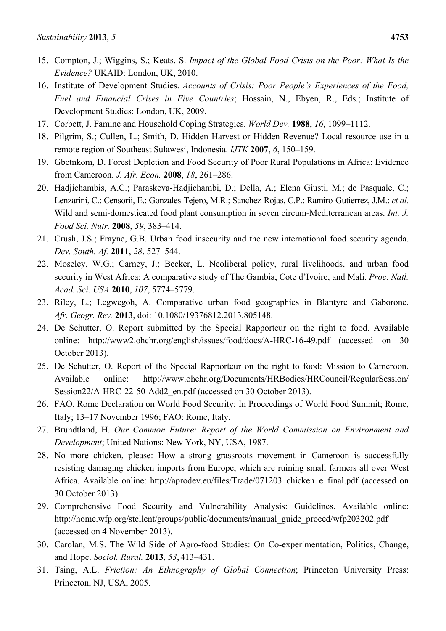- 15. Compton, J.; Wiggins, S.; Keats, S. *Impact of the Global Food Crisis on the Poor: What Is the Evidence?* UKAID: London, UK, 2010.
- 16. Institute of Development Studies. *Accounts of Crisis: Poor People's Experiences of the Food, Fuel and Financial Crises in Five Countries*; Hossain, N., Ebyen, R., Eds.; Institute of Development Studies: London, UK, 2009.
- 17. Corbett, J. Famine and Household Coping Strategies. *World Dev.* **1988**, *16*, 1099–1112.
- 18. Pilgrim, S.; Cullen, L.; Smith, D. Hidden Harvest or Hidden Revenue? Local resource use in a remote region of Southeast Sulawesi, Indonesia. *IJTK* **2007**, *6*, 150–159.
- 19. Gbetnkom, D. Forest Depletion and Food Security of Poor Rural Populations in Africa: Evidence from Cameroon. *J. Afr. Econ.* **2008**, *18*, 261–286.
- 20. Hadjichambis, A.C.; Paraskeva-Hadjichambi, D.; Della, A.; Elena Giusti, M.; de Pasquale, C.; Lenzarini, C.; Censorii, E.; Gonzales-Tejero, M.R.; Sanchez-Rojas, C.P.; Ramiro-Gutierrez, J.M.; *et al.* Wild and semi-domesticated food plant consumption in seven circum-Mediterranean areas. *Int. J. Food Sci. Nutr.* **2008**, *59*, 383–414.
- 21. Crush, J.S.; Frayne, G.B. Urban food insecurity and the new international food security agenda. *Dev. South. Af.* **2011**, *28*, 527–544.
- 22. Moseley, W.G.; Carney, J.; Becker, L. Neoliberal policy, rural livelihoods, and urban food security in West Africa: A comparative study of The Gambia, Cote d'Ivoire, and Mali. *Proc. Natl. Acad. Sci. USA* **2010**, *107*, 5774–5779.
- 23. Riley, L.; Legwegoh, A. Comparative urban food geographies in Blantyre and Gaborone. *Afr. Geogr. Rev.* **2013**, doi: 10.1080/19376812.2013.805148.
- 24. De Schutter, O. Report submitted by the Special Rapporteur on the right to food. Available online: http://www2.ohchr.org/english/issues/food/docs/A-HRC-16-49.pdf (accessed on 30 October 2013).
- 25. De Schutter, O. Report of the Special Rapporteur on the right to food: Mission to Cameroon. Available online: http://www.ohchr.org/Documents/HRBodies/HRCouncil/RegularSession/ Session22/A-HRC-22-50-Add2 en.pdf (accessed on 30 October 2013).
- 26. FAO. Rome Declaration on World Food Security; In Proceedings of World Food Summit; Rome, Italy; 13–17 November 1996; FAO: Rome, Italy.
- 27. Brundtland, H. *Our Common Future: Report of the World Commission on Environment and Development*; United Nations: New York, NY, USA, 1987.
- 28. No more chicken, please: How a strong grassroots movement in Cameroon is successfully resisting damaging chicken imports from Europe, which are ruining small farmers all over West Africa. Available online: http://aprodev.eu/files/Trade/071203 chicken e final.pdf (accessed on 30 October 2013).
- 29. Comprehensive Food Security and Vulnerability Analysis: Guidelines. Available online: http://home.wfp.org/stellent/groups/public/documents/manual\_guide\_proced/wfp203202.pdf (accessed on 4 November 2013).
- 30. Carolan, M.S. The Wild Side of Agro-food Studies: On Co-experimentation, Politics, Change, and Hope. *Sociol. Rural.* **2013**, *53*, 413–431.
- 31. Tsing, A.L. *Friction: An Ethnography of Global Connection*; Princeton University Press: Princeton, NJ, USA, 2005.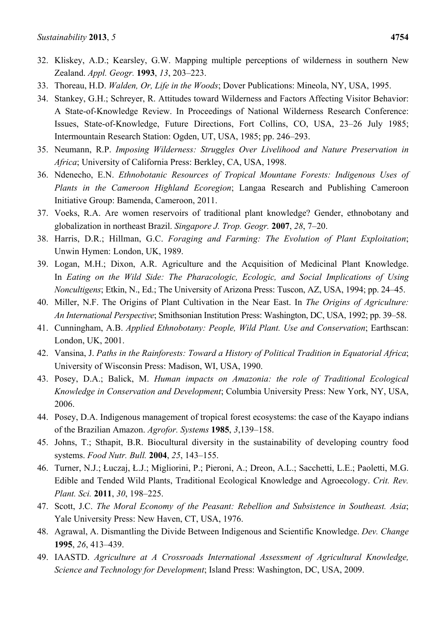- 32. Kliskey, A.D.; Kearsley, G.W. Mapping multiple perceptions of wilderness in southern New Zealand. *Appl. Geogr.* **1993**, *13*, 203–223.
- 33. Thoreau, H.D. *Walden, Or, Life in the Woods*; Dover Publications: Mineola, NY, USA, 1995.
- 34. Stankey, G.H.; Schreyer, R. Attitudes toward Wilderness and Factors Affecting Visitor Behavior: A State-of-Knowledge Review. In Proceedings of National Wilderness Research Conference: Issues, State-of-Knowledge, Future Directions, Fort Collins, CO, USA, 23–26 July 1985; Intermountain Research Station: Ogden, UT, USA, 1985; pp. 246–293.
- 35. Neumann, R.P. *Imposing Wilderness: Struggles Over Livelihood and Nature Preservation in Africa*; University of California Press: Berkley, CA, USA, 1998.
- 36. Ndenecho, E.N. *Ethnobotanic Resources of Tropical Mountane Forests: Indigenous Uses of Plants in the Cameroon Highland Ecoregion*; Langaa Research and Publishing Cameroon Initiative Group: Bamenda, Cameroon, 2011.
- 37. Voeks, R.A. Are women reservoirs of traditional plant knowledge? Gender, ethnobotany and globalization in northeast Brazil. *Singapore J. Trop. Geogr.* **2007**, *28*, 7–20.
- 38. Harris, D.R.; Hillman, G.C. *Foraging and Farming: The Evolution of Plant Exploitation*; Unwin Hymen: London, UK, 1989.
- 39. Logan, M.H.; Dixon, A.R. Agriculture and the Acquisition of Medicinal Plant Knowledge. In *Eating on the Wild Side: The Pharacologic, Ecologic, and Social Implications of Using Noncultigens*; Etkin, N., Ed.; The University of Arizona Press: Tuscon, AZ, USA, 1994; pp. 24–45.
- 40. Miller, N.F. The Origins of Plant Cultivation in the Near East. In *The Origins of Agriculture: An International Perspective*; Smithsonian Institution Press: Washington, DC, USA, 1992; pp. 39–58.
- 41. Cunningham, A.B. *Applied Ethnobotany: People, Wild Plant. Use and Conservation*; Earthscan: London, UK, 2001.
- 42. Vansina, J. *Paths in the Rainforests: Toward a History of Political Tradition in Equatorial Africa*; University of Wisconsin Press: Madison, WI, USA, 1990.
- 43. Posey, D.A.; Balick, M. *Human impacts on Amazonia: the role of Traditional Ecological Knowledge in Conservation and Development*; Columbia University Press: New York, NY, USA, 2006.
- 44. Posey, D.A. Indigenous management of tropical forest ecosystems: the case of the Kayapo indians of the Brazilian Amazon. *Agrofor. Systems* **1985**, *3*,139–158.
- 45. Johns, T.; Sthapit, B.R. Biocultural diversity in the sustainability of developing country food systems. *Food Nutr. Bull.* **2004**, *25*, 143–155.
- 46. Turner, N.J.; Łuczaj, Ł.J.; Migliorini, P.; Pieroni, A.; Dreon, A.L.; Sacchetti, L.E.; Paoletti, M.G. Edible and Tended Wild Plants, Traditional Ecological Knowledge and Agroecology. *Crit. Rev. Plant. Sci.* **2011**, *30*, 198–225.
- 47. Scott, J.C. *The Moral Economy of the Peasant: Rebellion and Subsistence in Southeast. Asia*; Yale University Press: New Haven, CT, USA, 1976.
- 48. Agrawal, A. Dismantling the Divide Between Indigenous and Scientific Knowledge. *Dev. Change* **1995**, *26*, 413–439.
- 49. IAASTD. *Agriculture at A Crossroads International Assessment of Agricultural Knowledge, Science and Technology for Development*; Island Press: Washington, DC, USA, 2009.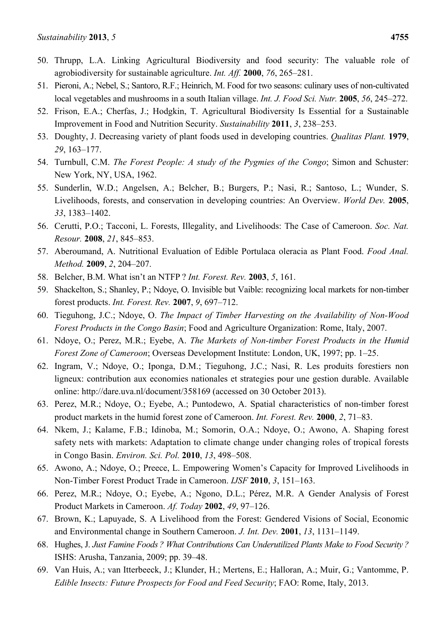- 50. Thrupp, L.A. Linking Agricultural Biodiversity and food security: The valuable role of agrobiodiversity for sustainable agriculture. *Int. Aff.* **2000**, *76*, 265–281.
- 51. Pieroni, A.; Nebel, S.; Santoro, R.F.; Heinrich, M. Food for two seasons: culinary uses of non-cultivated local vegetables and mushrooms in a south Italian village. *Int. J. Food Sci. Nutr.* **2005**, *56*, 245–272.
- 52. Frison, E.A.; Cherfas, J.; Hodgkin, T. Agricultural Biodiversity Is Essential for a Sustainable Improvement in Food and Nutrition Security. *Sustainability* **2011**, *3*, 238–253.
- 53. Doughty, J. Decreasing variety of plant foods used in developing countries. *Qualitas Plant.* **1979**, *29*, 163–177.
- 54. Turnbull, C.M. *The Forest People: A study of the Pygmies of the Congo*; Simon and Schuster: New York, NY, USA, 1962.
- 55. Sunderlin, W.D.; Angelsen, A.; Belcher, B.; Burgers, P.; Nasi, R.; Santoso, L.; Wunder, S. Livelihoods, forests, and conservation in developing countries: An Overview. *World Dev.* **2005**, *33*, 1383–1402.
- 56. Cerutti, P.O.; Tacconi, L. Forests, Illegality, and Livelihoods: The Case of Cameroon. *Soc. Nat. Resour.* **2008**, *21*, 845–853.
- 57. Aberoumand, A. Nutritional Evaluation of Edible Portulaca oleracia as Plant Food. *Food Anal. Method.* **2009**, *2*, 204–207.
- 58. Belcher, B.M. What isn't an NTFP ? *Int. Forest. Rev.* **2003**, *5*, 161.
- 59. Shackelton, S.; Shanley, P.; Ndoye, O. Invisible but Vaible: recognizing local markets for non-timber forest products. *Int. Forest. Rev.* **2007**, *9*, 697–712.
- 60. Tieguhong, J.C.; Ndoye, O. *The Impact of Timber Harvesting on the Availability of Non-Wood Forest Products in the Congo Basin*; Food and Agriculture Organization: Rome, Italy, 2007.
- 61. Ndoye, O.; Perez, M.R.; Eyebe, A. *The Markets of Non-timber Forest Products in the Humid Forest Zone of Cameroon*; Overseas Development Institute: London, UK, 1997; pp. 1–25.
- 62. Ingram, V.; Ndoye, O.; Iponga, D.M.; Tieguhong, J.C.; Nasi, R. Les produits forestiers non ligneux: contribution aux economies nationales et strategies pour une gestion durable. Available online: http://dare.uva.nl/document/358169 (accessed on 30 October 2013).
- 63. Perez, M.R.; Ndoye, O.; Eyebe, A.; Puntodewo, A. Spatial characteristics of non-timber forest product markets in the humid forest zone of Cameroon. *Int. Forest. Rev.* **2000**, *2*, 71–83.
- 64. Nkem, J.; Kalame, F.B.; Idinoba, M.; Somorin, O.A.; Ndoye, O.; Awono, A. Shaping forest safety nets with markets: Adaptation to climate change under changing roles of tropical forests in Congo Basin. *Environ. Sci. Pol.* **2010**, *13*, 498–508.
- 65. Awono, A.; Ndoye, O.; Preece, L. Empowering Women's Capacity for Improved Livelihoods in Non-Timber Forest Product Trade in Cameroon. *IJSF* **2010**, *3*, 151–163.
- 66. Perez, M.R.; Ndoye, O.; Eyebe, A.; Ngono, D.L.; Pérez, M.R. A Gender Analysis of Forest Product Markets in Cameroon. *Af. Today* **2002**, *49*, 97–126.
- 67. Brown, K.; Lapuyade, S. A Livelihood from the Forest: Gendered Visions of Social, Economic and Environmental change in Southern Cameroon. *J. Int. Dev.* **2001**, *13*, 1131–1149.
- 68. Hughes, J. *Just Famine Foods ? What Contributions Can Underutilized Plants Make to Food Security ?* ISHS: Arusha, Tanzania, 2009; pp. 39–48.
- 69. Van Huis, A.; van Itterbeeck, J.; Klunder, H.; Mertens, E.; Halloran, A.; Muir, G.; Vantomme, P. *Edible Insects: Future Prospects for Food and Feed Security*; FAO: Rome, Italy, 2013.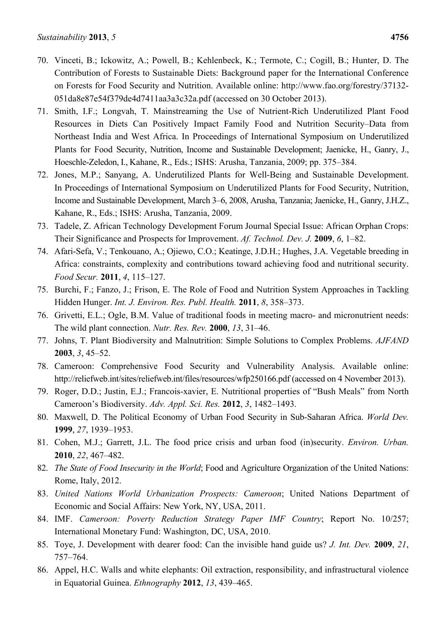- 70. Vinceti, B.; Ickowitz, A.; Powell, B.; Kehlenbeck, K.; Termote, C.; Cogill, B.; Hunter, D. The Contribution of Forests to Sustainable Diets: Background paper for the International Conference on Forests for Food Security and Nutrition. Available online: http://www.fao.org/forestry/37132- 051da8e87e54f379de4d7411aa3a3c32a.pdf (accessed on 30 October 2013).
- 71. Smith, I.F.; Longvah, T. Mainstreaming the Use of Nutrient-Rich Underutilized Plant Food Resources in Diets Can Positively Impact Family Food and Nutrition Security–Data from Northeast India and West Africa. In Proceedings of International Symposium on Underutilized Plants for Food Security, Nutrition, Income and Sustainable Development; Jaenicke, H., Ganry, J., Hoeschle-Zeledon, I., Kahane, R., Eds.; ISHS: Arusha, Tanzania, 2009; pp. 375–384.
- 72. Jones, M.P.; Sanyang, A. Underutilized Plants for Well-Being and Sustainable Development. In Proceedings of International Symposium on Underutilized Plants for Food Security, Nutrition, Income and Sustainable Development, March 3–6, 2008, Arusha, Tanzania; Jaenicke, H., Ganry, J.H.Z., Kahane, R., Eds.; ISHS: Arusha, Tanzania, 2009.
- 73. Tadele, Z. African Technology Development Forum Journal Special Issue: African Orphan Crops: Their Significance and Prospects for Improvement. *Af. Technol. Dev. J.* **2009**, *6*, 1–82.
- 74. Afari-Sefa, V.; Tenkouano, A.; Ojiewo, C.O.; Keatinge, J.D.H.; Hughes, J.A. Vegetable breeding in Africa: constraints, complexity and contributions toward achieving food and nutritional security. *Food Secur.* **2011**, *4*, 115–127.
- 75. Burchi, F.; Fanzo, J.; Frison, E. The Role of Food and Nutrition System Approaches in Tackling Hidden Hunger. *Int. J. Environ. Res. Publ. Health.* **2011**, *8*, 358–373.
- 76. Grivetti, E.L.; Ogle, B.M. Value of traditional foods in meeting macro- and micronutrient needs: The wild plant connection. *Nutr. Res. Rev.* **2000**, *13*, 31–46.
- 77. Johns, T. Plant Biodiversity and Malnutrition: Simple Solutions to Complex Problems. *AJFAND* **2003**, *3*, 45–52.
- 78. Cameroon: Comprehensive Food Security and Vulnerability Analysis. Available online: http://reliefweb.int/sites/reliefweb.int/files/resources/wfp250166.pdf (accessed on 4 November 2013).
- 79. Roger, D.D.; Justin, E.J.; Francois-xavier, E. Nutritional properties of "Bush Meals" from North Cameroon's Biodiversity. *Adv. Appl. Sci. Res.* **2012**, *3*, 1482–1493.
- 80. Maxwell, D. The Political Economy of Urban Food Security in Sub-Saharan Africa. *World Dev.*  **1999**, *27*, 1939–1953.
- 81. Cohen, M.J.; Garrett, J.L. The food price crisis and urban food (in)security. *Environ. Urban.*  **2010**, *22*, 467–482.
- 82. *The State of Food Insecurity in the World*; Food and Agriculture Organization of the United Nations: Rome, Italy, 2012.
- 83. *United Nations World Urbanization Prospects: Cameroon*; United Nations Department of Economic and Social Affairs: New York, NY, USA, 2011.
- 84. IMF. *Cameroon: Poverty Reduction Strategy Paper IMF Country*; Report No. 10/257; International Monetary Fund: Washington, DC, USA, 2010.
- 85. Toye, J. Development with dearer food: Can the invisible hand guide us? *J. Int. Dev.* **2009**, *21*, 757–764.
- 86. Appel, H.C. Walls and white elephants: Oil extraction, responsibility, and infrastructural violence in Equatorial Guinea. *Ethnography* **2012**, *13*, 439–465.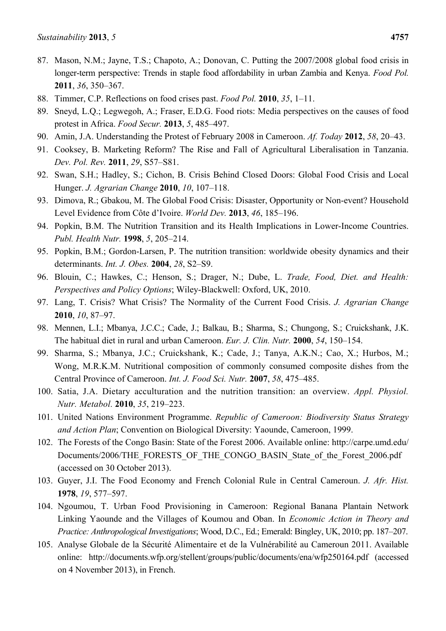- 87. Mason, N.M.; Jayne, T.S.; Chapoto, A.; Donovan, C. Putting the 2007/2008 global food crisis in longer-term perspective: Trends in staple food affordability in urban Zambia and Kenya. *Food Pol.* **2011**, *36*, 350–367.
- 88. Timmer, C.P. Reflections on food crises past. *Food Pol.* **2010**, *35*, 1–11.
- 89. Sneyd, L.Q.; Legwegoh, A.; Fraser, E.D.G. Food riots: Media perspectives on the causes of food protest in Africa. *Food Secur.* **2013**, *5*, 485–497.
- 90. Amin, J.A. Understanding the Protest of February 2008 in Cameroon. *Af. Today* **2012**, *58*, 20–43.
- 91. Cooksey, B. Marketing Reform? The Rise and Fall of Agricultural Liberalisation in Tanzania. *Dev. Pol. Rev.* **2011**, *29*, S57–S81.
- 92. Swan, S.H.; Hadley, S.; Cichon, B. Crisis Behind Closed Doors: Global Food Crisis and Local Hunger. *J. Agrarian Change* **2010**, *10*, 107–118.
- 93. Dimova, R.; Gbakou, M. The Global Food Crisis: Disaster, Opportunity or Non-event? Household Level Evidence from Côte d'Ivoire. *World Dev.* **2013**, *46*, 185–196.
- 94. Popkin, B.M. The Nutrition Transition and its Health Implications in Lower-Income Countries. *Publ. Health Nutr.* **1998**, *5*, 205–214.
- 95. Popkin, B.M.; Gordon-Larsen, P. The nutrition transition: worldwide obesity dynamics and their determinants. *Int. J. Obes.* **2004**, *28*, S2–S9.
- 96. Blouin, C.; Hawkes, C.; Henson, S.; Drager, N.; Dube, L. *Trade, Food, Diet. and Health: Perspectives and Policy Options*; Wiley-Blackwell: Oxford, UK, 2010.
- 97. Lang, T. Crisis? What Crisis? The Normality of the Current Food Crisis. *J. Agrarian Change* **2010**, *10*, 87–97.
- 98. Mennen, L.I.; Mbanya, J.C.C.; Cade, J.; Balkau, B.; Sharma, S.; Chungong, S.; Cruickshank, J.K. The habitual diet in rural and urban Cameroon. *Eur. J. Clin. Nutr.* **2000**, *54*, 150–154.
- 99. Sharma, S.; Mbanya, J.C.; Cruickshank, K.; Cade, J.; Tanya, A.K.N.; Cao, X.; Hurbos, M.; Wong, M.R.K.M. Nutritional composition of commonly consumed composite dishes from the Central Province of Cameroon. *Int. J. Food Sci. Nutr.* **2007**, *58*, 475–485.
- 100. Satia, J.A. Dietary acculturation and the nutrition transition: an overview. *Appl. Physiol. Nutr. Metabol.* **2010**, *35*, 219–223.
- 101. United Nations Environment Programme. *Republic of Cameroon: Biodiversity Status Strategy and Action Plan*; Convention on Biological Diversity: Yaounde, Cameroon, 1999.
- 102. The Forests of the Congo Basin: State of the Forest 2006. Available online: http://carpe.umd.edu/ Documents/2006/THE\_FORESTS\_OF\_THE\_CONGO\_BASIN\_State\_of\_the\_Forest\_2006.pdf (accessed on 30 October 2013).
- 103. Guyer, J.I. The Food Economy and French Colonial Rule in Central Cameroun. *J. Afr. Hist.*  **1978**, *19*, 577–597.
- 104. Ngoumou, T. Urban Food Provisioning in Cameroon: Regional Banana Plantain Network Linking Yaounde and the Villages of Koumou and Oban. In *Economic Action in Theory and Practice: Anthropological Investigations*; Wood, D.C., Ed.; Emerald: Bingley, UK, 2010; pp. 187–207.
- 105. Analyse Globale de la Sécurité Alimentaire et de la Vulnérabilité au Cameroun 2011. Available online: http://documents.wfp.org/stellent/groups/public/documents/ena/wfp250164.pdf (accessed on 4 November 2013), in French.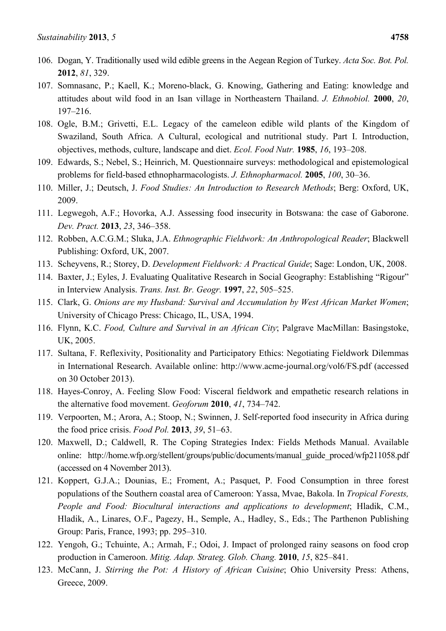- 106. Dogan, Y. Traditionally used wild edible greens in the Aegean Region of Turkey. *Acta Soc. Bot. Pol.* **2012**, *81*, 329.
- 107. Somnasanc, P.; Kaell, K.; Moreno-black, G. Knowing, Gathering and Eating: knowledge and attitudes about wild food in an Isan village in Northeastern Thailand. *J. Ethnobiol.* **2000**, *20*, 197–216.
- 108. Ogle, B.M.; Grivetti, E.L. Legacy of the cameleon edible wild plants of the Kingdom of Swaziland, South Africa. A Cultural, ecological and nutritional study. Part I. Introduction, objectives, methods, culture, landscape and diet. *Ecol. Food Nutr.* **1985**, *16*, 193–208.
- 109. Edwards, S.; Nebel, S.; Heinrich, M. Questionnaire surveys: methodological and epistemological problems for field-based ethnopharmacologists. *J. Ethnopharmacol.* **2005**, *100*, 30–36.
- 110. Miller, J.; Deutsch, J. *Food Studies: An Introduction to Research Methods*; Berg: Oxford, UK, 2009.
- 111. Legwegoh, A.F.; Hovorka, A.J. Assessing food insecurity in Botswana: the case of Gaborone. *Dev. Pract.* **2013**, *23*, 346–358.
- 112. Robben, A.C.G.M.; Sluka, J.A. *Ethnographic Fieldwork: An Anthropological Reader*; Blackwell Publishing: Oxford, UK, 2007.
- 113. Scheyvens, R.; Storey, D. *Development Fieldwork: A Practical Guide*; Sage: London, UK, 2008.
- 114. Baxter, J.; Eyles, J. Evaluating Qualitative Research in Social Geography: Establishing "Rigour" in Interview Analysis. *Trans. Inst. Br. Geogr.* **1997**, *22*, 505–525.
- 115. Clark, G. *Onions are my Husband: Survival and Accumulation by West African Market Women*; University of Chicago Press: Chicago, IL, USA, 1994.
- 116. Flynn, K.C. *Food, Culture and Survival in an African City*; Palgrave MacMillan: Basingstoke, UK, 2005.
- 117. Sultana, F. Reflexivity, Positionality and Participatory Ethics: Negotiating Fieldwork Dilemmas in International Research. Available online: http://www.acme-journal.org/vol6/FS.pdf (accessed on 30 October 2013).
- 118. Hayes-Conroy, A. Feeling Slow Food: Visceral fieldwork and empathetic research relations in the alternative food movement. *Geoforum* **2010**, *41*, 734–742.
- 119. Verpoorten, M.; Arora, A.; Stoop, N.; Swinnen, J. Self-reported food insecurity in Africa during the food price crisis. *Food Pol.* **2013**, *39*, 51–63.
- 120. Maxwell, D.; Caldwell, R. The Coping Strategies Index: Fields Methods Manual. Available online: http://home.wfp.org/stellent/groups/public/documents/manual\_guide\_proced/wfp211058.pdf (accessed on 4 November 2013).
- 121. Koppert, G.J.A.; Dounias, E.; Froment, A.; Pasquet, P. Food Consumption in three forest populations of the Southern coastal area of Cameroon: Yassa, Mvae, Bakola. In *Tropical Forests, People and Food: Biocultural interactions and applications to development*; Hladik, C.M., Hladik, A., Linares, O.F., Pagezy, H., Semple, A., Hadley, S., Eds.; The Parthenon Publishing Group: Paris, France, 1993; pp. 295–310.
- 122. Yengoh, G.; Tchuinte, A.; Armah, F.; Odoi, J. Impact of prolonged rainy seasons on food crop production in Cameroon. *Mitig. Adap. Strateg. Glob. Chang.* **2010**, *15*, 825–841.
- 123. McCann, J. *Stirring the Pot: A History of African Cuisine*; Ohio University Press: Athens, Greece, 2009.